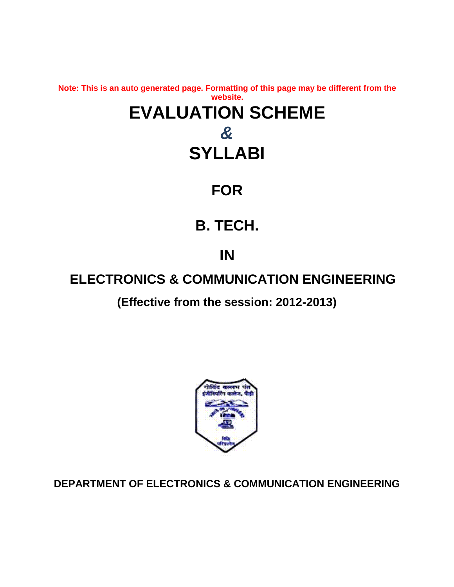**Note: This is an auto generated page. Formatting of this page may be different from the website. EVALUATION SCHEME** *&* **SYLLABI**

**FOR**

# **B. TECH.**

**IN**

# **ELECTRONICS & COMMUNICATION ENGINEERING**

**(Effective from the session: 2012-2013)**



**DEPARTMENT OF ELECTRONICS & COMMUNICATION ENGINEERING**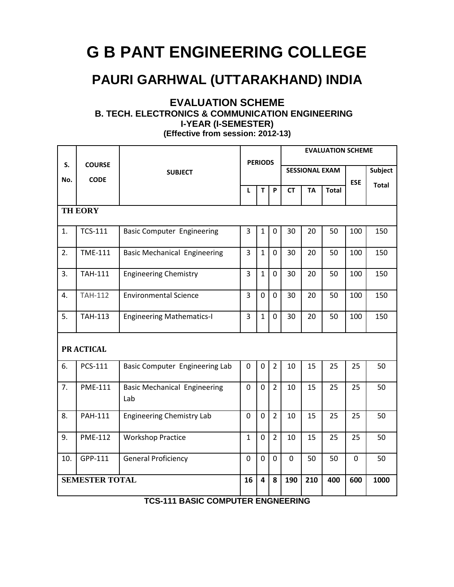# **G B PANT ENGINEERING COLLEGE**

# **PAURI GARHWAL (UTTARAKHAND) INDIA**

# **EVALUATION SCHEME B. TECH. ELECTRONICS & COMMUNICATION ENGINEERING I-YEAR (I-SEMESTER)**

**(Effective from session: 2012-13)**

|           |                              |                                            |                | <b>PERIODS</b>          |                |                | <b>EVALUATION SCHEME</b> |              |                |         |  |  |  |
|-----------|------------------------------|--------------------------------------------|----------------|-------------------------|----------------|----------------|--------------------------|--------------|----------------|---------|--|--|--|
| S.<br>No. | <b>COURSE</b><br><b>CODE</b> | <b>SUBJECT</b>                             |                |                         |                |                | <b>SESSIONAL EXAM</b>    |              |                | Subject |  |  |  |
|           |                              |                                            | L              | T                       | P              | <b>CT</b>      | <b>TA</b>                | <b>Total</b> | <b>ESE</b>     | Total   |  |  |  |
|           | <b>TH EORY</b>               |                                            |                |                         |                |                |                          |              |                |         |  |  |  |
| 1.        | <b>TCS-111</b>               | <b>Basic Computer Engineering</b>          | 3              | $\mathbf{1}$            | 0              | 30             | 20                       | 50           | 100            | 150     |  |  |  |
| 2.        | <b>TME-111</b>               | <b>Basic Mechanical Engineering</b>        | 3              | $\mathbf{1}$            | 0              | 30             | 20                       | 50           | 100            | 150     |  |  |  |
| 3.        | <b>TAH-111</b>               | <b>Engineering Chemistry</b>               | $\overline{3}$ | $\mathbf{1}$            | 0              | 30             | 20                       | 50           | 100            | 150     |  |  |  |
| 4.        | <b>TAH-112</b>               | <b>Environmental Science</b>               | $\overline{3}$ | $\mathbf 0$             | $\overline{0}$ | 30             | 20                       | 50           | 100            | 150     |  |  |  |
| 5.        | <b>TAH-113</b>               | <b>Engineering Mathematics-I</b>           | $\overline{3}$ | $\mathbf{1}$            | 0              | 30             | 20                       | 50           | 100            | 150     |  |  |  |
|           | PR ACTICAL                   |                                            |                |                         |                |                |                          |              |                |         |  |  |  |
| 6.        | PCS-111                      | Basic Computer Engineering Lab             | $\mathbf 0$    | $\mathbf 0$             | $\overline{2}$ | 10             | 15                       | 25           | 25             | 50      |  |  |  |
| 7.        | <b>PME-111</b>               | <b>Basic Mechanical Engineering</b><br>Lab | $\mathbf 0$    | $\mathbf 0$             | $\overline{2}$ | 10             | 15                       | 25           | 25             | 50      |  |  |  |
| 8.        | <b>PAH-111</b>               | <b>Engineering Chemistry Lab</b>           | 0              | $\overline{0}$          | $\overline{2}$ | 10             | 15                       | 25           | 25             | 50      |  |  |  |
| 9.        | <b>PME-112</b>               | <b>Workshop Practice</b>                   | $\mathbf{1}$   | $\overline{0}$          | $\overline{2}$ | 10             | 15                       | 25           | 25             | 50      |  |  |  |
| 10.       | GPP-111                      | <b>General Proficiency</b>                 | $\overline{0}$ | $\overline{0}$          | $\overline{0}$ | $\overline{0}$ | 50                       | 50           | $\overline{0}$ | 50      |  |  |  |
|           | <b>SEMESTER TOTAL</b>        |                                            |                | $\overline{\mathbf{4}}$ | 8              | 190            | 210                      | 400          | 600            | 1000    |  |  |  |
|           |                              | <b>TCS-111 BASIC COMPUTER ENGNEERING</b>   |                |                         |                |                |                          |              |                |         |  |  |  |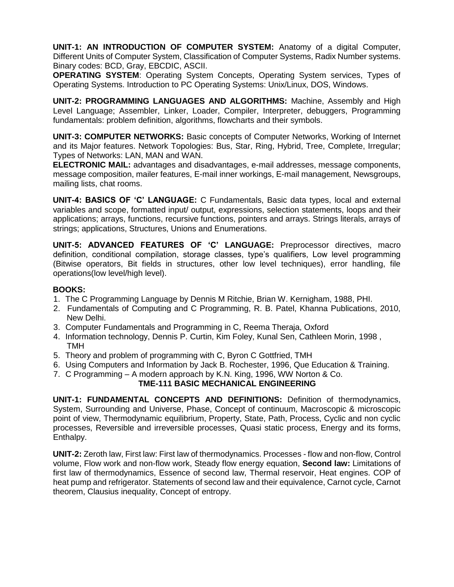**UNIT-1: AN INTRODUCTION OF COMPUTER SYSTEM:** Anatomy of a digital Computer, Different Units of Computer System, Classification of Computer Systems, Radix Number systems. Binary codes: BCD, Gray, EBCDIC, ASCII.

**OPERATING SYSTEM**: Operating System Concepts, Operating System services, Types of Operating Systems. Introduction to PC Operating Systems: Unix/Linux, DOS, Windows.

**UNIT-2: PROGRAMMING LANGUAGES AND ALGORITHMS:** Machine, Assembly and High Level Language; Assembler, Linker, Loader, Compiler, Interpreter, debuggers, Programming fundamentals: problem definition, algorithms, flowcharts and their symbols.

**UNIT-3: COMPUTER NETWORKS:** Basic concepts of Computer Networks, Working of Internet and its Major features. Network Topologies: Bus, Star, Ring, Hybrid, Tree, Complete, Irregular; Types of Networks: LAN, MAN and WAN.

**ELECTRONIC MAIL:** advantages and disadvantages, e-mail addresses, message components, message composition, mailer features, E-mail inner workings, E-mail management, Newsgroups, mailing lists, chat rooms.

**UNIT-4: BASICS OF 'C' LANGUAGE:** C Fundamentals, Basic data types, local and external variables and scope, formatted input/ output, expressions, selection statements, loops and their applications; arrays, functions, recursive functions, pointers and arrays. Strings literals, arrays of strings; applications, Structures, Unions and Enumerations.

**UNIT-5: ADVANCED FEATURES OF 'C' LANGUAGE:** Preprocessor directives, macro definition, conditional compilation, storage classes, type's qualifiers, Low level programming (Bitwise operators, Bit fields in structures, other low level techniques), error handling, file operations(low level/high level).

# **BOOKS:**

- 1. The C Programming Language by Dennis M Ritchie, Brian W. Kernigham, 1988, PHI.
- 2. Fundamentals of Computing and C Programming, R. B. Patel, Khanna Publications, 2010, New Delhi.
- 3. Computer Fundamentals and Programming in C, Reema Theraja, Oxford
- 4. Information technology, Dennis P. Curtin, Kim Foley, Kunal Sen, Cathleen Morin, 1998 , TMH
- 5. Theory and problem of programming with C, Byron C Gottfried, TMH
- 6. Using Computers and Information by Jack B. Rochester, 1996, Que Education & Training.
- 7. C Programming A modern approach by K.N. King, 1996, WW Norton & Co.

#### **TME-111 BASIC MECHANICAL ENGINEERING**

**UNIT-1: FUNDAMENTAL CONCEPTS AND DEFINITIONS:** Definition of thermodynamics, System, Surrounding and Universe, Phase, Concept of continuum, Macroscopic & microscopic point of view, Thermodynamic equilibrium, Property, State, Path, Process, Cyclic and non cyclic processes, Reversible and irreversible processes, Quasi static process, Energy and its forms, Enthalpy.

**UNIT-2:** Zeroth law, First law: First law of thermodynamics. Processes - flow and non-flow, Control volume, Flow work and non-flow work, Steady flow energy equation, **Second law:** Limitations of first law of thermodynamics, Essence of second law, Thermal reservoir, Heat engines. COP of heat pump and refrigerator. Statements of second law and their equivalence, Carnot cycle, Carnot theorem, Clausius inequality, Concept of entropy.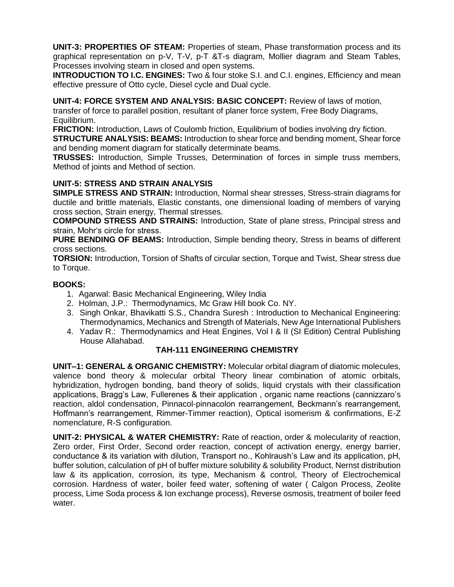**UNIT-3: PROPERTIES OF STEAM:** Properties of steam, Phase transformation process and its graphical representation on p-V, T-V, p-T &T-s diagram, Mollier diagram and Steam Tables, Processes involving steam in closed and open systems.

**INTRODUCTION TO I.C. ENGINES:** Two & four stoke S.I. and C.I. engines, Efficiency and mean effective pressure of Otto cycle, Diesel cycle and Dual cycle.

#### **UNIT-4: FORCE SYSTEM AND ANALYSIS: BASIC CONCEPT:** Review of laws of motion,

transfer of force to parallel position, resultant of planer force system, Free Body Diagrams, Equilibrium.

**FRICTION:** Introduction, Laws of Coulomb friction, Equilibrium of bodies involving dry fiction.

**STRUCTURE ANALYSIS: BEAMS:** Introduction to shear force and bending moment, Shear force and bending moment diagram for statically determinate beams.

**TRUSSES:** Introduction, Simple Trusses, Determination of forces in simple truss members, Method of joints and Method of section.

# **UNIT-5: STRESS AND STRAIN ANALYSIS**

**SIMPLE STRESS AND STRAIN:** Introduction, Normal shear stresses, Stress-strain diagrams for ductile and brittle materials, Elastic constants, one dimensional loading of members of varying cross section, Strain energy, Thermal stresses.

**COMPOUND STRESS AND STRAINS:** Introduction, State of plane stress, Principal stress and strain, Mohr's circle for stress.

**PURE BENDING OF BEAMS:** Introduction, Simple bending theory, Stress in beams of different cross sections.

**TORSION:** Introduction, Torsion of Shafts of circular section, Torque and Twist, Shear stress due to Torque.

#### **BOOKS:**

- 1. Agarwal: Basic Mechanical Engineering, Wiley India
- 2. Holman, J.P.: Thermodynamics, Mc Graw Hill book Co. NY.
- 3. Singh Onkar, Bhavikatti S.S., Chandra Suresh : Introduction to Mechanical Engineering: Thermodynamics, Mechanics and Strength of Materials, New Age International Publishers
- 4. Yadav R.: Thermodynamics and Heat Engines, Vol I & II (SI Edition) Central Publishing House Allahabad.

# **TAH-111 ENGINEERING CHEMISTRY**

**UNIT–1: GENERAL & ORGANIC CHEMISTRY:** Molecular orbital diagram of diatomic molecules, valence bond theory & molecular orbital Theory linear combination of atomic orbitals, hybridization, hydrogen bonding, band theory of solids, liquid crystals with their classification applications, Bragg's Law, Fullerenes & their application , organic name reactions (cannizzaro's reaction, aldol condensation, Pinnacol-pinnacolon rearrangement, Beckmann's rearrangement, Hoffmann's rearrangement, Rimmer-Timmer reaction), Optical isomerism & confirmations, E-Z nomenclature, R-S configuration.

**UNIT-2: PHYSICAL & WATER CHEMISTRY:** Rate of reaction, order & molecularity of reaction, Zero order, First Order, Second order reaction, concept of activation energy, energy barrier, conductance & its variation with dilution, Transport no., Kohlraush's Law and its application, pH, buffer solution, calculation of pH of buffer mixture solubility & solubility Product, Nernst distribution law & its application, corrosion, its type, Mechanism & control, Theory of Electrochemical corrosion. Hardness of water, boiler feed water, softening of water ( Calgon Process, Zeolite process, Lime Soda process & Ion exchange process), Reverse osmosis, treatment of boiler feed water.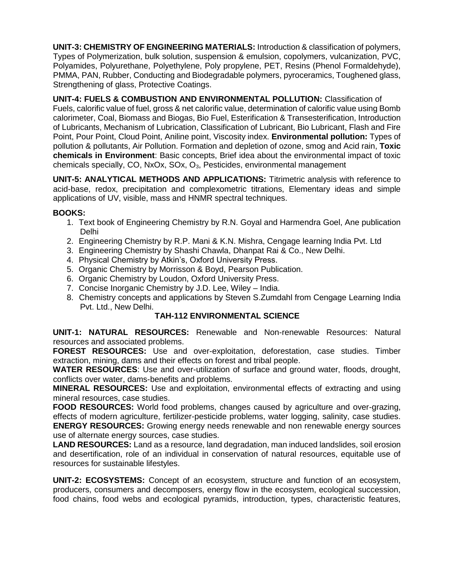**UNIT-3: CHEMISTRY OF ENGINEERING MATERIALS:** Introduction & classification of polymers, Types of Polymerization, bulk solution, suspension & emulsion, copolymers, vulcanization, PVC, Polyamides, Polyurethane, Polyethylene, Poly propylene, PET, Resins (Phenol Formaldehyde), PMMA, PAN, Rubber, Conducting and Biodegradable polymers, pyroceramics, Toughened glass, Strengthening of glass, Protective Coatings.

**UNIT-4: FUELS & COMBUSTION AND ENVIRONMENTAL POLLUTION:** Classification of Fuels, calorific value of fuel, gross & net calorific value, determination of calorific value using Bomb calorimeter, Coal, Biomass and Biogas, Bio Fuel, Esterification & Transesterification, Introduction of Lubricants, Mechanism of Lubrication, Classification of Lubricant, Bio Lubricant, Flash and Fire Point, Pour Point, Cloud Point, Aniline point, Viscosity index. **Environmental pollution:** Types of pollution & pollutants, Air Pollution. Formation and depletion of ozone, smog and Acid rain, **Toxic chemicals in Environment**: Basic concepts, Brief idea about the environmental impact of toxic chemicals specially, CO, NxOx, SOx, O3, Pesticides, environmental management

**UNIT-5: ANALYTICAL METHODS AND APPLICATIONS:** Titrimetric analysis with reference to acid-base, redox, precipitation and complexometric titrations, Elementary ideas and simple applications of UV, visible, mass and HNMR spectral techniques.

# **BOOKS:**

- 1. Text book of Engineering Chemistry by R.N. Goyal and Harmendra Goel, Ane publication Delhi
- 2. Engineering Chemistry by R.P. Mani & K.N. Mishra, Cengage learning India Pvt. Ltd
- 3. Engineering Chemistry by Shashi Chawla, Dhanpat Rai & Co., New Delhi.
- 4. Physical Chemistry by Atkin's, Oxford University Press.
- 5. Organic Chemistry by Morrisson & Boyd, Pearson Publication.
- 6. Organic Chemistry by Loudon, Oxford University Press.
- 7. Concise Inorganic Chemistry by J.D. Lee, Wiley India.
- 8. Chemistry concepts and applications by Steven S.Zumdahl from Cengage Learning India Pvt. Ltd., New Delhi.

# **TAH-112 ENVIRONMENTAL SCIENCE**

**UNIT-1: NATURAL RESOURCES:** Renewable and Non-renewable Resources: Natural resources and associated problems.

**FOREST RESOURCES:** Use and over-exploitation, deforestation, case studies. Timber extraction, mining, dams and their effects on forest and tribal people.

**WATER RESOURCES**: Use and over-utilization of surface and ground water, floods, drought, conflicts over water, dams-benefits and problems.

**MINERAL RESOURCES:** Use and exploitation, environmental effects of extracting and using mineral resources, case studies.

**FOOD RESOURCES:** World food problems, changes caused by agriculture and over-grazing, effects of modern agriculture, fertilizer-pesticide problems, water logging, salinity, case studies. **ENERGY RESOURCES:** Growing energy needs renewable and non renewable energy sources use of alternate energy sources, case studies.

**LAND RESOURCES:** Land as a resource, land degradation, man induced landslides, soil erosion and desertification, role of an individual in conservation of natural resources, equitable use of resources for sustainable lifestyles.

**UNIT-2: ECOSYSTEMS:** Concept of an ecosystem, structure and function of an ecosystem, producers, consumers and decomposers, energy flow in the ecosystem, ecological succession, food chains, food webs and ecological pyramids, introduction, types, characteristic features,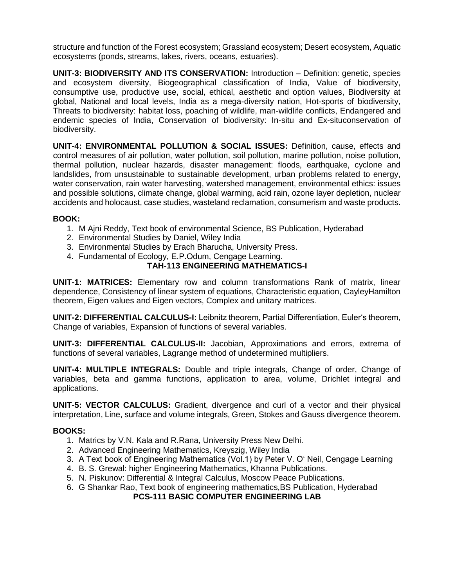structure and function of the Forest ecosystem; Grassland ecosystem; Desert ecosystem, Aquatic ecosystems (ponds, streams, lakes, rivers, oceans, estuaries).

**UNIT-3: BIODIVERSITY AND ITS CONSERVATION:** Introduction – Definition: genetic, species and ecosystem diversity, Biogeographical classification of India, Value of biodiversity, consumptive use, productive use, social, ethical, aesthetic and option values, Biodiversity at global, National and local levels, India as a mega-diversity nation, Hot-sports of biodiversity, Threats to biodiversity: habitat loss, poaching of wildlife, man-wildlife conflicts, Endangered and endemic species of India, Conservation of biodiversity: In-situ and Ex-situconservation of biodiversity.

**UNIT-4: ENVIRONMENTAL POLLUTION & SOCIAL ISSUES:** Definition, cause, effects and control measures of air pollution, water pollution, soil pollution, marine pollution, noise pollution, thermal pollution, nuclear hazards, disaster management: floods, earthquake, cyclone and landslides, from unsustainable to sustainable development, urban problems related to energy, water conservation, rain water harvesting, watershed management, environmental ethics: issues and possible solutions, climate change, global warming, acid rain, ozone layer depletion, nuclear accidents and holocaust, case studies, wasteland reclamation, consumerism and waste products.

# **BOOK:**

- 1. M Ajni Reddy, Text book of environmental Science, BS Publication, Hyderabad
- 2. Environmental Studies by Daniel, Wiley India
- 3. Environmental Studies by Erach Bharucha, University Press.
- 4. Fundamental of Ecology, E.P.Odum, Cengage Learning.

# **TAH-113 ENGINEERING MATHEMATICS-I**

**UNIT-1: MATRICES:** Elementary row and column transformations Rank of matrix, linear dependence, Consistency of linear system of equations, Characteristic equation, CayleyHamilton theorem, Eigen values and Eigen vectors, Complex and unitary matrices.

**UNIT-2: DIFFERENTIAL CALCULUS-I:** Leibnitz theorem, Partial Differentiation, Euler's theorem, Change of variables, Expansion of functions of several variables.

**UNIT-3: DIFFERENTIAL CALCULUS-II:** Jacobian, Approximations and errors, extrema of functions of several variables, Lagrange method of undetermined multipliers.

**UNIT-4: MULTIPLE INTEGRALS:** Double and triple integrals, Change of order, Change of variables, beta and gamma functions, application to area, volume, Drichlet integral and applications.

**UNIT-5: VECTOR CALCULUS:** Gradient, divergence and curl of a vector and their physical interpretation, Line, surface and volume integrals, Green, Stokes and Gauss divergence theorem.

# **BOOKS:**

- 1. Matrics by V.N. Kala and R.Rana, University Press New Delhi.
- 2. Advanced Engineering Mathematics, Kreyszig, Wiley India
- 3. A Text book of Engineering Mathematics (Vol.1) by Peter V. O' Neil, Cengage Learning
- 4. B. S. Grewal: higher Engineering Mathematics, Khanna Publications.
- 5. N. Piskunov: Differential & Integral Calculus, Moscow Peace Publications.

6. G Shankar Rao, Text book of engineering mathematics,BS Publication, Hyderabad **PCS-111 BASIC COMPUTER ENGINEERING LAB**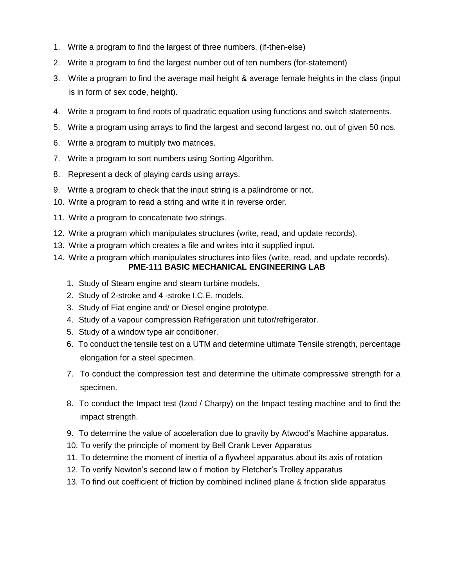- 1. Write a program to find the largest of three numbers. (if-then-else)
- 2. Write a program to find the largest number out of ten numbers (for-statement)
- 3. Write a program to find the average mail height & average female heights in the class (input is in form of sex code, height).
- 4. Write a program to find roots of quadratic equation using functions and switch statements.
- 5. Write a program using arrays to find the largest and second largest no. out of given 50 nos.
- 6. Write a program to multiply two matrices.
- 7. Write a program to sort numbers using Sorting Algorithm.
- 8. Represent a deck of playing cards using arrays.
- 9. Write a program to check that the input string is a palindrome or not.
- 10. Write a program to read a string and write it in reverse order.
- 11. Write a program to concatenate two strings.
- 12. Write a program which manipulates structures (write, read, and update records).
- 13. Write a program which creates a file and writes into it supplied input.
- 14. Write a program which manipulates structures into files (write, read, and update records). **PME-111 BASIC MECHANICAL ENGINEERING LAB**
	- 1. Study of Steam engine and steam turbine models.
	- 2. Study of 2-stroke and 4 -stroke I.C.E. models.
	- 3. Study of Fiat engine and/ or Diesel engine prototype.
	- 4. Study of a vapour compression Refrigeration unit tutor/refrigerator.
	- 5. Study of a window type air conditioner.
	- 6. To conduct the tensile test on a UTM and determine ultimate Tensile strength, percentage elongation for a steel specimen.
	- 7. To conduct the compression test and determine the ultimate compressive strength for a specimen.
	- 8. To conduct the Impact test (Izod / Charpy) on the Impact testing machine and to find the impact strength.
	- 9. To determine the value of acceleration due to gravity by Atwood's Machine apparatus.
	- 10. To verify the principle of moment by Bell Crank Lever Apparatus
	- 11. To determine the moment of inertia of a flywheel apparatus about its axis of rotation
	- 12. To verify Newton's second law o f motion by Fletcher's Trolley apparatus
	- 13. To find out coefficient of friction by combined inclined plane & friction slide apparatus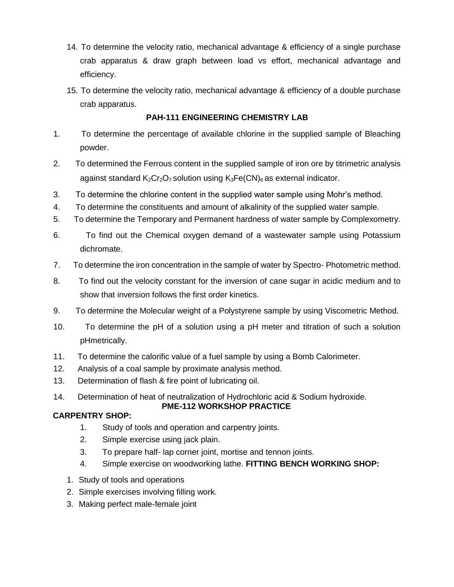- 14. To determine the velocity ratio, mechanical advantage & efficiency of a single purchase crab apparatus & draw graph between load vs effort, mechanical advantage and efficiency.
- 15. To determine the velocity ratio, mechanical advantage & efficiency of a double purchase crab apparatus.

# **PAH-111 ENGINEERING CHEMISTRY LAB**

- 1. To determine the percentage of available chlorine in the supplied sample of Bleaching powder.
- 2. To determined the Ferrous content in the supplied sample of iron ore by titrimetric analysis against standard  $K_2Cr_2O_7$  solution using  $K_3Fe(CN)_6$  as external indicator.
- 3. To determine the chlorine content in the supplied water sample using Mohr's method.
- 4. To determine the constituents and amount of alkalinity of the supplied water sample.
- 5. To determine the Temporary and Permanent hardness of water sample by Complexometry.
- 6. To find out the Chemical oxygen demand of a wastewater sample using Potassium dichromate.
- 7. To determine the iron concentration in the sample of water by Spectro- Photometric method.
- 8. To find out the velocity constant for the inversion of cane sugar in acidic medium and to show that inversion follows the first order kinetics.
- 9. To determine the Molecular weight of a Polystyrene sample by using Viscometric Method.
- 10. To determine the pH of a solution using a pH meter and titration of such a solution pHmetrically.
- 11. To determine the calorific value of a fuel sample by using a Bomb Calorimeter.
- 12. Analysis of a coal sample by proximate analysis method.
- 13. Determination of flash & fire point of lubricating oil.
- 14. Determination of heat of neutralization of Hydrochloric acid & Sodium hydroxide.

# **PME-112 WORKSHOP PRACTICE**

# **CARPENTRY SHOP:**

- 1. Study of tools and operation and carpentry joints.
- 2. Simple exercise using jack plain.
- 3. To prepare half- lap corner joint, mortise and tennon joints.
- 4. Simple exercise on woodworking lathe. **FITTING BENCH WORKING SHOP:**
- 1. Study of tools and operations
- 2. Simple exercises involving filling work.
- 3. Making perfect male-female joint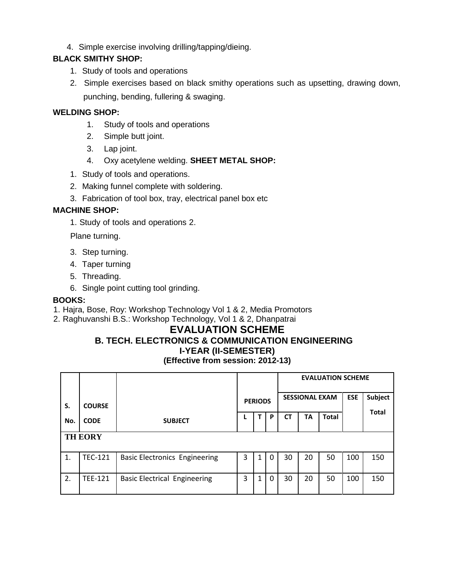4. Simple exercise involving drilling/tapping/dieing.

# **BLACK SMITHY SHOP:**

- 1. Study of tools and operations
- 2. Simple exercises based on black smithy operations such as upsetting, drawing down, punching, bending, fullering & swaging.

# **WELDING SHOP:**

- 1. Study of tools and operations
- 2. Simple butt joint.
- 3. Lap joint.
- 4. Oxy acetylene welding. **SHEET METAL SHOP:**
- 1. Study of tools and operations.
- 2. Making funnel complete with soldering.
- 3. Fabrication of tool box, tray, electrical panel box etc

# **MACHINE SHOP:**

1. Study of tools and operations 2.

Plane turning.

- 3. Step turning.
- 4. Taper turning
- 5. Threading.
- 6. Single point cutting tool grinding.

# **BOOKS:**

- 1. Hajra, Bose, Roy: Workshop Technology Vol 1 & 2, Media Promotors
- 2. Raghuvanshi B.S.: Workshop Technology, Vol 1 & 2, Dhanpatrai

# **EVALUATION SCHEME B. TECH. ELECTRONICS & COMMUNICATION ENGINEERING I-YEAR (II-SEMESTER) (Effective from session: 2012-13)**

|              |                |                                      |                |  |                       | <b>EVALUATION SCHEME</b> |    |              |                |              |  |  |  |
|--------------|----------------|--------------------------------------|----------------|--|-----------------------|--------------------------|----|--------------|----------------|--------------|--|--|--|
| S.           | <b>COURSE</b>  |                                      | <b>PERIODS</b> |  | <b>SESSIONAL EXAM</b> |                          |    | <b>ESE</b>   | <b>Subject</b> |              |  |  |  |
| No.          | <b>CODE</b>    | <b>SUBJECT</b>                       |                |  | P                     | <b>CT</b>                | TΑ | <b>Total</b> |                | <b>Total</b> |  |  |  |
|              | <b>TH EORY</b> |                                      |                |  |                       |                          |    |              |                |              |  |  |  |
| $\mathbf{1}$ | <b>TEC-121</b> | <b>Basic Electronics Engineering</b> | 3              |  | 0                     | 30                       | 20 | 50           | 100            | 150          |  |  |  |
| 2.           | <b>TEE-121</b> | <b>Basic Electrical Engineering</b>  | 3              |  | 0                     | 30                       | 20 | 50           | 100            | 150          |  |  |  |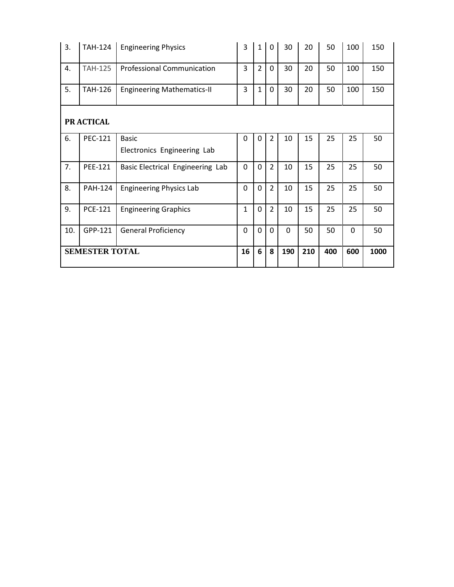| 3.                    | <b>TAH-124</b> | <b>Engineering Physics</b>        | 3            | $\mathbf{1}$   | $\Omega$       | 30       | 20  | 50  | 100          | 150 |  |
|-----------------------|----------------|-----------------------------------|--------------|----------------|----------------|----------|-----|-----|--------------|-----|--|
| 4.                    | TAH-125        | <b>Professional Communication</b> | 3            | $\overline{2}$ | $\Omega$       | 30       | 20  | 50  | 100          | 150 |  |
| 5.                    | <b>TAH-126</b> | <b>Engineering Mathematics-II</b> | 3            | $\mathbf{1}$   | $\Omega$       | 30       | 20  | 50  | 100          | 150 |  |
| PR ACTICAL            |                |                                   |              |                |                |          |     |     |              |     |  |
| 6.                    | <b>PEC-121</b> | <b>Basic</b>                      | 0            | $\Omega$       | $\overline{2}$ | 10       | 15  | 25  | 25           | 50  |  |
|                       |                | Electronics Engineering Lab       |              |                |                |          |     |     |              |     |  |
| 7.                    | <b>PEE-121</b> | Basic Electrical Engineering Lab  | $\mathbf 0$  | $\mathbf 0$    | $\overline{2}$ | 10       | 15  | 25  | 25           | 50  |  |
| 8.                    | <b>PAH-124</b> | <b>Engineering Physics Lab</b>    | $\Omega$     | $\mathbf 0$    | $\overline{2}$ | 10       | 15  | 25  | 25           | 50  |  |
| 9.                    | <b>PCE-121</b> | <b>Engineering Graphics</b>       | $\mathbf{1}$ | $\mathbf 0$    | $\overline{2}$ | 10       | 15  | 25  | 25           | 50  |  |
| 10.                   | GPP-121        | <b>General Proficiency</b>        | $\Omega$     | $\mathbf 0$    | $\overline{0}$ | $\Omega$ | 50  | 50  | $\mathbf{0}$ | 50  |  |
| <b>SEMESTER TOTAL</b> |                | 16                                | 6            | 8              | 190            | 210      | 400 | 600 | 1000         |     |  |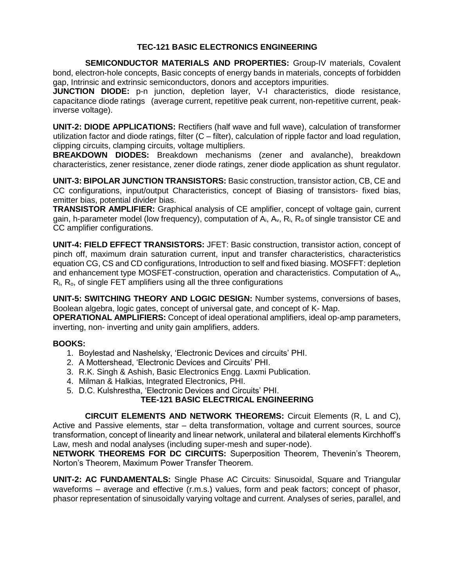# **TEC-121 BASIC ELECTRONICS ENGINEERING**

**SEMICONDUCTOR MATERIALS AND PROPERTIES:** Group-IV materials, Covalent bond, electron-hole concepts, Basic concepts of energy bands in materials, concepts of forbidden gap, Intrinsic and extrinsic semiconductors, donors and acceptors impurities.

**JUNCTION DIODE:** p-n junction, depletion layer, V-I characteristics, diode resistance, capacitance diode ratings (average current, repetitive peak current, non-repetitive current, peakinverse voltage).

**UNIT-2: DIODE APPLICATIONS:** Rectifiers (half wave and full wave), calculation of transformer utilization factor and diode ratings, filter (C – filter), calculation of ripple factor and load regulation, clipping circuits, clamping circuits, voltage multipliers.

**BREAKDOWN DIODES:** Breakdown mechanisms (zener and avalanche), breakdown characteristics, zener resistance, zener diode ratings, zener diode application as shunt regulator.

**UNIT-3: BIPOLAR JUNCTION TRANSISTORS:** Basic construction, transistor action, CB, CE and CC configurations, input/output Characteristics, concept of Biasing of transistors- fixed bias, emitter bias, potential divider bias.

**TRANSISTOR AMPLIFIER:** Graphical analysis of CE amplifier, concept of voltage gain, current gain, h-parameter model (low frequency), computation of A<sub>i</sub>, A<sub>v</sub>, R<sub>i</sub>, R<sub>o</sub> of single transistor CE and CC amplifier configurations.

**UNIT-4: FIELD EFFECT TRANSISTORS:** JFET: Basic construction, transistor action, concept of pinch off, maximum drain saturation current, input and transfer characteristics, characteristics equation CG, CS and CD configurations, Introduction to self and fixed biasing. MOSFFT: depletion and enhancement type MOSFET-construction, operation and characteristics. Computation of Av,  $R_i$ ,  $R_o$ , of single FET amplifiers using all the three configurations

**UNIT-5: SWITCHING THEORY AND LOGIC DESIGN:** Number systems, conversions of bases, Boolean algebra, logic gates, concept of universal gate, and concept of K- Map.

**OPERATIONAL AMPLIFIERS:** Concept of ideal operational amplifiers, ideal op-amp parameters, inverting, non- inverting and unity gain amplifiers, adders.

# **BOOKS:**

- 1. Boylestad and Nashelsky, 'Electronic Devices and circuits' PHI.
- 2. A Mottershead, 'Electronic Devices and Circuits' PHI.
- 3. R.K. Singh & Ashish, Basic Electronics Engg. Laxmi Publication.
- 4. Milman & Halkias, Integrated Electronics, PHI.
- 5. D.C. Kulshrestha, 'Electronic Devices and Circuits' PHI.

# **TEE-121 BASIC ELECTRICAL ENGINEERING**

**CIRCUIT ELEMENTS AND NETWORK THEOREMS:** Circuit Elements (R, L and C), Active and Passive elements, star – delta transformation, voltage and current sources, source transformation, concept of linearity and linear network, unilateral and bilateral elements Kirchhoff's Law, mesh and nodal analyses (including super-mesh and super-node).

**NETWORK THEOREMS FOR DC CIRCUITS:** Superposition Theorem, Thevenin's Theorem, Norton's Theorem, Maximum Power Transfer Theorem.

**UNIT-2: AC FUNDAMENTALS:** Single Phase AC Circuits: Sinusoidal, Square and Triangular waveforms – average and effective (r.m.s.) values, form and peak factors; concept of phasor, phasor representation of sinusoidally varying voltage and current. Analyses of series, parallel, and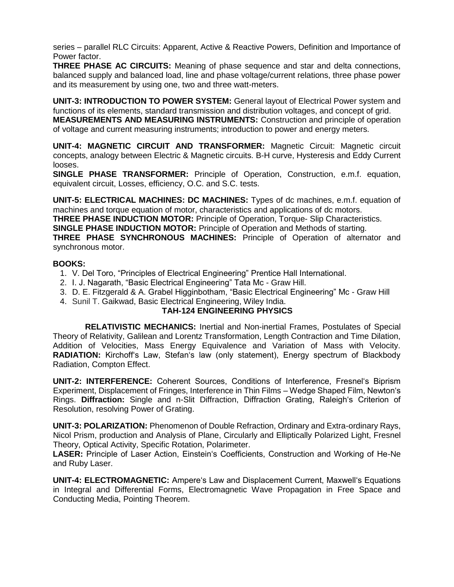series – parallel RLC Circuits: Apparent, Active & Reactive Powers, Definition and Importance of Power factor.

**THREE PHASE AC CIRCUITS:** Meaning of phase sequence and star and delta connections, balanced supply and balanced load, line and phase voltage/current relations, three phase power and its measurement by using one, two and three watt-meters.

**UNIT-3: INTRODUCTION TO POWER SYSTEM:** General layout of Electrical Power system and functions of its elements, standard transmission and distribution voltages, and concept of grid. **MEASUREMENTS AND MEASURING INSTRUMENTS:** Construction and principle of operation of voltage and current measuring instruments; introduction to power and energy meters.

**UNIT-4: MAGNETIC CIRCUIT AND TRANSFORMER:** Magnetic Circuit: Magnetic circuit concepts, analogy between Electric & Magnetic circuits. B-H curve, Hysteresis and Eddy Current looses.

**SINGLE PHASE TRANSFORMER:** Principle of Operation, Construction, e.m.f. equation, equivalent circuit, Losses, efficiency, O.C. and S.C. tests.

**UNIT-5: ELECTRICAL MACHINES: DC MACHINES:** Types of dc machines, e.m.f. equation of machines and torque equation of motor, characteristics and applications of dc motors.

**THREE PHASE INDUCTION MOTOR:** Principle of Operation, Torque- Slip Characteristics. **SINGLE PHASE INDUCTION MOTOR:** Principle of Operation and Methods of starting.

**THREE PHASE SYNCHRONOUS MACHINES:** Principle of Operation of alternator and synchronous motor.

#### **BOOKS:**

- 1. V. Del Toro, "Principles of Electrical Engineering" Prentice Hall International.
- 2. I. J. Nagarath, "Basic Electrical Engineering" Tata Mc Graw Hill.
- 3. D. E. Fitzgerald & A. Grabel Higginbotham, "Basic Electrical Engineering" Mc Graw Hill
- 4. Sunil T. Gaikwad, Basic Electrical Engineering, Wiley India.

# **TAH-124 ENGINEERING PHYSICS**

**RELATIVISTIC MECHANICS:** Inertial and Non-inertial Frames, Postulates of Special Theory of Relativity, Galilean and Lorentz Transformation, Length Contraction and Time Dilation, Addition of Velocities, Mass Energy Equivalence and Variation of Mass with Velocity. **RADIATION:** Kirchoff's Law, Stefan's law (only statement), Energy spectrum of Blackbody Radiation, Compton Effect.

**UNIT-2: INTERFERENCE:** Coherent Sources, Conditions of Interference, Fresnel's Biprism Experiment, Displacement of Fringes, Interference in Thin Films – Wedge Shaped Film, Newton's Rings. **Diffraction:** Single and n-Slit Diffraction, Diffraction Grating, Raleigh's Criterion of Resolution, resolving Power of Grating.

**UNIT-3: POLARIZATION:** Phenomenon of Double Refraction, Ordinary and Extra-ordinary Rays, Nicol Prism, production and Analysis of Plane, Circularly and Elliptically Polarized Light, Fresnel Theory, Optical Activity, Specific Rotation, Polarimeter.

**LASER:** Principle of Laser Action, Einstein's Coefficients, Construction and Working of He-Ne and Ruby Laser.

**UNIT-4: ELECTROMAGNETIC:** Ampere's Law and Displacement Current, Maxwell's Equations in Integral and Differential Forms, Electromagnetic Wave Propagation in Free Space and Conducting Media, Pointing Theorem.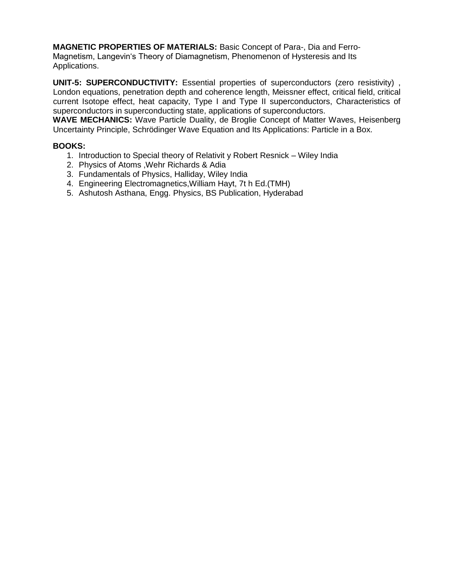**MAGNETIC PROPERTIES OF MATERIALS:** Basic Concept of Para-, Dia and Ferro-Magnetism, Langevin's Theory of Diamagnetism, Phenomenon of Hysteresis and Its Applications.

**UNIT-5: SUPERCONDUCTIVITY:** Essential properties of superconductors (zero resistivity) , London equations, penetration depth and coherence length, Meissner effect, critical field, critical current Isotope effect, heat capacity, Type I and Type II superconductors, Characteristics of superconductors in superconducting state, applications of superconductors.

**WAVE MECHANICS:** Wave Particle Duality, de Broglie Concept of Matter Waves, Heisenberg Uncertainty Principle, Schrödinger Wave Equation and Its Applications: Particle in a Box.

# **BOOKS:**

- 1. Introduction to Special theory of Relativit y Robert Resnick Wiley India
- 2. Physics of Atoms ,Wehr Richards & Adia
- 3. Fundamentals of Physics, Halliday, Wiley India
- 4. Engineering Electromagnetics,William Hayt, 7t h Ed.(TMH)
- 5. Ashutosh Asthana, Engg. Physics, BS Publication, Hyderabad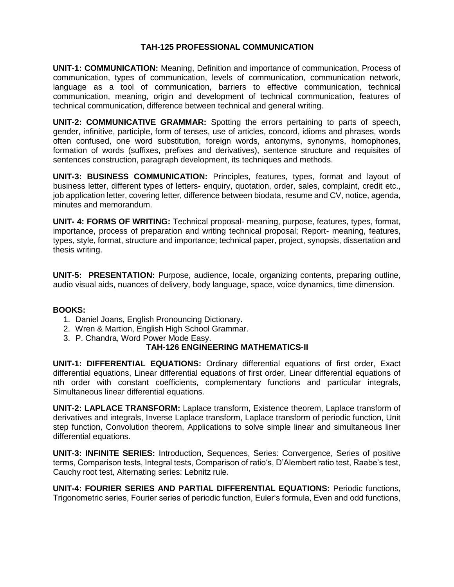# **TAH-125 PROFESSIONAL COMMUNICATION**

**UNIT-1: COMMUNICATION:** Meaning, Definition and importance of communication, Process of communication, types of communication, levels of communication, communication network, language as a tool of communication, barriers to effective communication, technical communication, meaning, origin and development of technical communication, features of technical communication, difference between technical and general writing.

**UNIT-2: COMMUNICATIVE GRAMMAR:** Spotting the errors pertaining to parts of speech, gender, infinitive, participle, form of tenses, use of articles, concord, idioms and phrases, words often confused, one word substitution, foreign words, antonyms, synonyms, homophones, formation of words (suffixes, prefixes and derivatives), sentence structure and requisites of sentences construction, paragraph development, its techniques and methods.

**UNIT-3: BUSINESS COMMUNICATION:** Principles, features, types, format and layout of business letter, different types of letters- enquiry, quotation, order, sales, complaint, credit etc., job application letter, covering letter, difference between biodata, resume and CV, notice, agenda, minutes and memorandum.

**UNIT- 4: FORMS OF WRITING:** Technical proposal- meaning, purpose, features, types, format, importance, process of preparation and writing technical proposal; Report- meaning, features, types, style, format, structure and importance; technical paper, project, synopsis, dissertation and thesis writing.

**UNIT-5: PRESENTATION:** Purpose, audience, locale, organizing contents, preparing outline, audio visual aids, nuances of delivery, body language, space, voice dynamics, time dimension.

#### **BOOKS:**

- 1. Daniel Joans, English Pronouncing Dictionary**.**
- 2. Wren & Martion, English High School Grammar.
- 3. P. Chandra, Word Power Mode Easy.

# **TAH-126 ENGINEERING MATHEMATICS-II**

**UNIT-1: DIFFERENTIAL EQUATIONS:** Ordinary differential equations of first order, Exact differential equations, Linear differential equations of first order, Linear differential equations of nth order with constant coefficients, complementary functions and particular integrals, Simultaneous linear differential equations.

**UNIT-2: LAPLACE TRANSFORM:** Laplace transform, Existence theorem, Laplace transform of derivatives and integrals, Inverse Laplace transform, Laplace transform of periodic function, Unit step function, Convolution theorem, Applications to solve simple linear and simultaneous liner differential equations.

**UNIT-3: INFINITE SERIES:** Introduction, Sequences, Series: Convergence, Series of positive terms, Comparison tests, Integral tests, Comparison of ratio's, D'Alembert ratio test, Raabe's test, Cauchy root test, Alternating series: Lebnitz rule.

**UNIT-4: FOURIER SERIES AND PARTIAL DIFFERENTIAL EQUATIONS:** Periodic functions, Trigonometric series, Fourier series of periodic function, Euler's formula, Even and odd functions,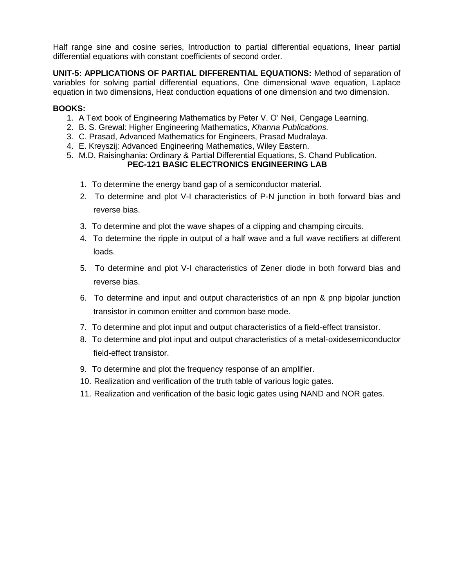Half range sine and cosine series, Introduction to partial differential equations, linear partial differential equations with constant coefficients of second order.

**UNIT-5: APPLICATIONS OF PARTIAL DIFFERENTIAL EQUATIONS:** Method of separation of variables for solving partial differential equations, One dimensional wave equation, Laplace equation in two dimensions, Heat conduction equations of one dimension and two dimension.

#### **BOOKS:**

- 1. A Text book of Engineering Mathematics by Peter V. O' Neil, Cengage Learning.
- 2. B. S. Grewal: Higher Engineering Mathematics, *Khanna Publications.*
- 3. C. Prasad, Advanced Mathematics for Engineers, Prasad Mudralaya.
- 4. E. Kreyszij: Advanced Engineering Mathematics, Wiley Eastern.
- 5. M.D. Raisinghania: Ordinary & Partial Differential Equations, S. Chand Publication. **PEC-121 BASIC ELECTRONICS ENGINEERING LAB**
	- 1. To determine the energy band gap of a semiconductor material.
	- 2. To determine and plot V-I characteristics of P-N junction in both forward bias and reverse bias.
	- 3. To determine and plot the wave shapes of a clipping and champing circuits.
	- 4. To determine the ripple in output of a half wave and a full wave rectifiers at different loads.
	- 5. To determine and plot V-I characteristics of Zener diode in both forward bias and reverse bias.
	- 6. To determine and input and output characteristics of an npn & pnp bipolar junction transistor in common emitter and common base mode.
	- 7. To determine and plot input and output characteristics of a field-effect transistor.
	- 8. To determine and plot input and output characteristics of a metal-oxidesemiconductor field-effect transistor.
	- 9. To determine and plot the frequency response of an amplifier.
	- 10. Realization and verification of the truth table of various logic gates.
	- 11. Realization and verification of the basic logic gates using NAND and NOR gates.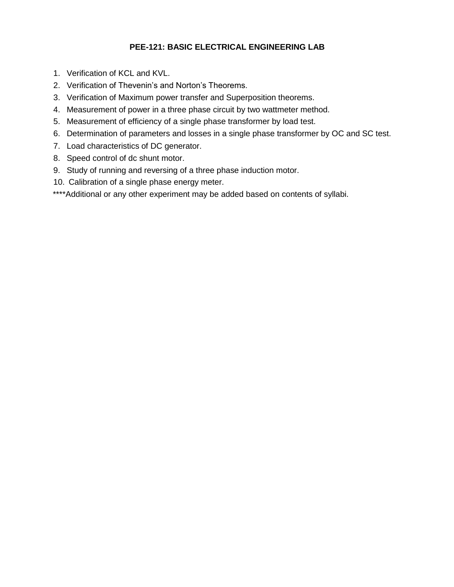# **PEE-121: BASIC ELECTRICAL ENGINEERING LAB**

- 1. Verification of KCL and KVL.
- 2. Verification of Thevenin's and Norton's Theorems.
- 3. Verification of Maximum power transfer and Superposition theorems.
- 4. Measurement of power in a three phase circuit by two wattmeter method.
- 5. Measurement of efficiency of a single phase transformer by load test.
- 6. Determination of parameters and losses in a single phase transformer by OC and SC test.
- 7. Load characteristics of DC generator.
- 8. Speed control of dc shunt motor.
- 9. Study of running and reversing of a three phase induction motor.
- 10. Calibration of a single phase energy meter.
- \*\*\*\*Additional or any other experiment may be added based on contents of syllabi.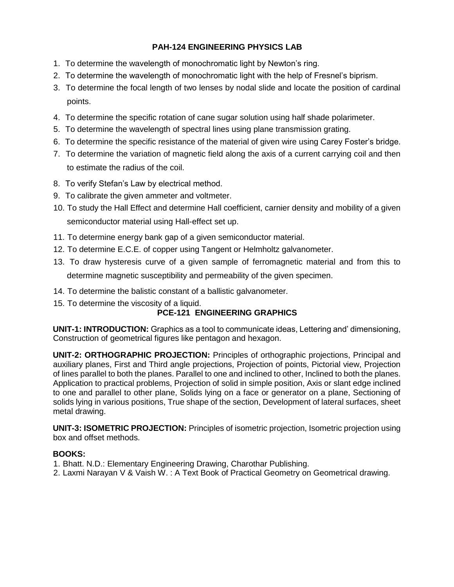# **PAH-124 ENGINEERING PHYSICS LAB**

- 1. To determine the wavelength of monochromatic light by Newton's ring.
- 2. To determine the wavelength of monochromatic light with the help of Fresnel's biprism.
- 3. To determine the focal length of two lenses by nodal slide and locate the position of cardinal points.
- 4. To determine the specific rotation of cane sugar solution using half shade polarimeter.
- 5. To determine the wavelength of spectral lines using plane transmission grating.
- 6. To determine the specific resistance of the material of given wire using Carey Foster's bridge.
- 7. To determine the variation of magnetic field along the axis of a current carrying coil and then to estimate the radius of the coil.
- 8. To verify Stefan's Law by electrical method.
- 9. To calibrate the given ammeter and voltmeter.
- 10. To study the Hall Effect and determine Hall coefficient, carnier density and mobility of a given semiconductor material using Hall-effect set up.
- 11. To determine energy bank gap of a given semiconductor material.
- 12. To determine E.C.E. of copper using Tangent or Helmholtz galvanometer.
- 13. To draw hysteresis curve of a given sample of ferromagnetic material and from this to determine magnetic susceptibility and permeability of the given specimen.
- 14. To determine the balistic constant of a ballistic galvanometer.
- 15. To determine the viscosity of a liquid.

# **PCE-121 ENGINEERING GRAPHICS**

**UNIT-1: INTRODUCTION:** Graphics as a tool to communicate ideas, Lettering and' dimensioning, Construction of geometrical figures like pentagon and hexagon.

**UNIT-2: ORTHOGRAPHIC PROJECTION:** Principles of orthographic projections, Principal and auxiliary planes, First and Third angle projections, Projection of points, Pictorial view, Projection of lines parallel to both the planes. Parallel to one and inclined to other, Inclined to both the planes. Application to practical problems, Projection of solid in simple position, Axis or slant edge inclined to one and parallel to other plane, Solids lying on a face or generator on a plane, Sectioning of solids lying in various positions, True shape of the section, Development of lateral surfaces, sheet metal drawing.

**UNIT-3: ISOMETRIC PROJECTION:** Principles of isometric projection, Isometric projection using box and offset methods.

# **BOOKS:**

- 1. Bhatt. N.D.: Elementary Engineering Drawing, Charothar Publishing.
- 2. Laxmi Narayan V & Vaish W. : A Text Book of Practical Geometry on Geometrical drawing.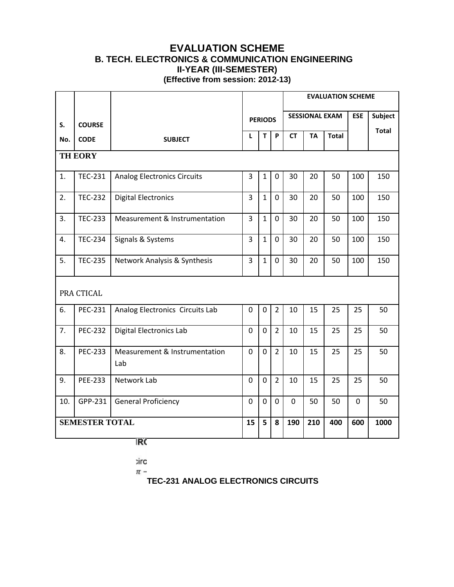# **EVALUATION SCHEME B. TECH. ELECTRONICS & COMMUNICATION ENGINEERING II-YEAR (III-SEMESTER) (Effective from session: 2012-13)**

|     |                       |                                      |                |                |                | <b>EVALUATION SCHEME</b> |                       |              |             |              |
|-----|-----------------------|--------------------------------------|----------------|----------------|----------------|--------------------------|-----------------------|--------------|-------------|--------------|
| S.  | <b>COURSE</b>         |                                      |                | <b>PERIODS</b> |                |                          | <b>SESSIONAL EXAM</b> |              | <b>ESE</b>  | Subject      |
| No. | <b>CODE</b>           | <b>SUBJECT</b>                       | L              | T              | P              | <b>CT</b>                | <b>TA</b>             | <b>Total</b> |             | <b>Total</b> |
|     | <b>TH EORY</b>        |                                      |                |                |                |                          |                       |              |             |              |
| 1.  | <b>TEC-231</b>        | <b>Analog Electronics Circuits</b>   | 3              | $\mathbf 1$    | $\mathbf 0$    | 30                       | 20                    | 50           | 100         | 150          |
| 2.  | <b>TEC-232</b>        | <b>Digital Electronics</b>           | $\overline{3}$ | $\mathbf{1}$   | $\mathbf 0$    | 30                       | 20                    | 50           | 100         | 150          |
| 3.  | <b>TEC-233</b>        | Measurement & Instrumentation        | 3              | $\mathbf 1$    | $\mathbf 0$    | 30                       | 20                    | 50           | 100         | 150          |
| 4.  | <b>TEC-234</b>        | Signals & Systems                    | 3              | $\mathbf{1}$   | $\mathbf 0$    | 30                       | 20                    | 50           | 100         | 150          |
| 5.  | <b>TEC-235</b>        | Network Analysis & Synthesis         | 3              | $\mathbf{1}$   | $\mathbf 0$    | 30                       | 20                    | 50           | 100         | 150          |
|     | PRA CTICAL            |                                      |                |                |                |                          |                       |              |             |              |
| 6.  | <b>PEC-231</b>        | Analog Electronics Circuits Lab      | $\mathbf 0$    | $\mathbf 0$    | $\overline{2}$ | 10                       | 15                    | 25           | 25          | 50           |
| 7.  | <b>PEC-232</b>        | <b>Digital Electronics Lab</b>       | $\mathbf 0$    | $\mathbf 0$    | $\overline{2}$ | 10                       | 15                    | 25           | 25          | 50           |
| 8.  | <b>PEC-233</b>        | Measurement & Instrumentation<br>Lab | $\mathbf 0$    | $\Omega$       | $\overline{2}$ | 10                       | 15                    | 25           | 25          | 50           |
| 9.  | <b>PEE-233</b>        | <b>Network Lab</b>                   | $\mathbf 0$    | $\overline{0}$ | $\overline{2}$ | 10                       | 15                    | 25           | 25          | 50           |
| 10. | GPP-231               | <b>General Proficiency</b>           | $\mathbf 0$    | $\mathbf 0$    | $\mathbf 0$    | $\mathbf 0$              | 50                    | 50           | $\mathbf 0$ | 50           |
|     | <b>SEMESTER TOTAL</b> |                                      | 15             | 5              | 8              | 190                      | 210                   | 400          | 600         | 1000         |

**IRC** 

**sirc** 

 $\pi$  -

**TEC-231 ANALOG ELECTRONICS CIRCUITS**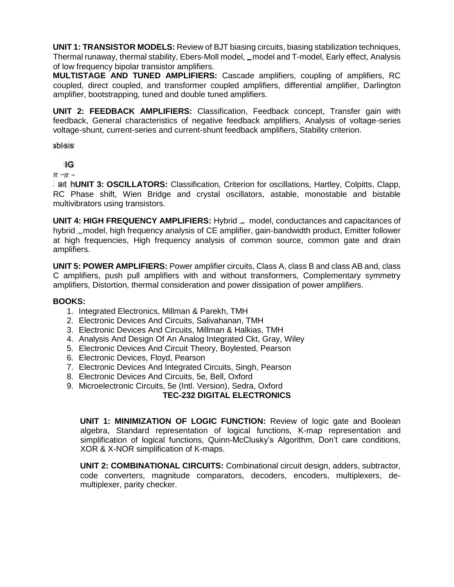**UNIT 1: TRANSISTOR MODELS:** Review of BJT biasing circuits, biasing stabilization techniques, Thermal runaway, thermal stability, Ebers-Moll model, \_model and T-model, Early effect, Analysis of low frequency bipolar transistor amplifiers.

**MULTISTAGE AND TUNED AMPLIFIERS:** Cascade amplifiers, coupling of amplifiers, RC coupled, direct coupled, and transformer coupled amplifiers, differential amplifier, Darlington amplifier, bootstrapping, tuned and double tuned amplifiers.

**UNIT 2: FEEDBACK AMPLIFIERS:** Classification, Feedback concept, Transfer gain with feedback, General characteristics of negative feedback amplifiers, Analysis of voltage-series voltage-shunt, current-series and current-shunt feedback amplifiers, Stability criterion.

abl sis

IG

 $\pi - \pi -$ 

**Ealt hUNIT 3: OSCILLATORS:** Classification, Criterion for oscillations, Hartley, Colpitts, Clapp, RC Phase shift, Wien Bridge and crystal oscillators, astable, monostable and bistable multivibrators using transistors.

**UNIT 4: HIGH FREQUENCY AMPLIFIERS:** Hybrid ... model, conductances and capacitances of hybrid model, high frequency analysis of CE amplifier, gain-bandwidth product, Emitter follower at high frequencies, High frequency analysis of common source, common gate and drain amplifiers.

**UNIT 5: POWER AMPLIFIERS:** Power amplifier circuits, Class A, class B and class AB and, class C amplifiers, push pull amplifiers with and without transformers, Complementary symmetry amplifiers, Distortion, thermal consideration and power dissipation of power amplifiers.

# **BOOKS:**

- 1. Integrated Electronics, Millman & Parekh, TMH
- 2. Electronic Devices And Circuits, Salivahanan, TMH
- 3. Electronic Devices And Circuits, Millman & Halkias, TMH
- 4. Analysis And Design Of An Analog Integrated Ckt, Gray, Wiley
- 5. Electronic Devices And Circuit Theory, Boylested, Pearson
- 6. Electronic Devices, Floyd, Pearson
- 7. Electronic Devices And Integrated Circuits, Singh, Pearson
- 8. Electronic Devices And Circuits, 5e, Bell, Oxford
- 9. Microelectronic Circuits, 5e (Intl. Version), Sedra, Oxford **TEC-232 DIGITAL ELECTRONICS**

**UNIT 1: MINIMIZATION OF LOGIC FUNCTION:** Review of logic gate and Boolean algebra, Standard representation of logical functions, K-map representation and simplification of logical functions, Quinn-McClusky's Algorithm, Don't care conditions, XOR & X-NOR simplification of K-maps.

**UNIT 2: COMBINATIONAL CIRCUITS:** Combinational circuit design, adders, subtractor, code converters, magnitude comparators, decoders, encoders, multiplexers, demultiplexer, parity checker.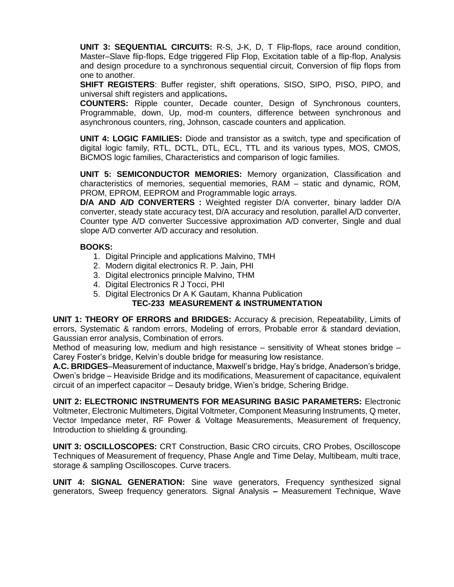**UNIT 3: SEQUENTIAL CIRCUITS:** R-S, J-K, D, T Flip-flops, race around condition, Master–Slave flip-flops, Edge triggered Flip Flop, Excitation table of a flip-flop, Analysis and design procedure to a synchronous sequential circuit, Conversion of flip flops from one to another.

**SHIFT REGISTERS**: Buffer register, shift operations, SISO, SIPO, PISO, PIPO, and universal shift registers and applications**.**

**COUNTERS:** Ripple counter, Decade counter, Design of Synchronous counters, Programmable, down, Up, mod-m counters, difference between synchronous and asynchronous counters, ring, Johnson, cascade counters and application.

**UNIT 4: LOGIC FAMILIES:** Diode and transistor as a switch, type and specification of digital logic family, RTL, DCTL, DTL, ECL, TTL and its various types, MOS, CMOS, BiCMOS logic families, Characteristics and comparison of logic families.

**UNIT 5: SEMICONDUCTOR MEMORIES:** Memory organization, Classification and characteristics of memories, sequential memories, RAM – static and dynamic, ROM, PROM, EPROM, EEPROM and Programmable logic arrays.

**D/A AND A/D CONVERTERS :** Weighted register D/A converter, binary ladder D/A converter, steady state accuracy test, D/A accuracy and resolution, parallel A/D converter, Counter type A/D converter Successive approximation A/D converter, Single and dual slope A/D converter A/D accuracy and resolution.

# **BOOKS:**

- 1. Digital Principle and applications Malvino, TMH
- 2. Modern digital electronics R. P. Jain, PHI
- 3. Digital electronics principle Malvino, THM
- 4. Digital Electronics R J Tocci, PHI
- 5. Digital Electronics Dr A K Gautam, Khanna Publication

# **TEC-233 MEASUREMENT & INSTRUMENTATION**

**UNIT 1: THEORY OF ERRORS and BRIDGES:** Accuracy & precision, Repeatability, Limits of errors, Systematic & random errors, Modeling of errors, Probable error & standard deviation, Gaussian error analysis, Combination of errors.

Method of measuring low, medium and high resistance – sensitivity of Wheat stones bridge – Carey Foster's bridge, Kelvin's double bridge for measuring low resistance.

**A.C. BRIDGES**–Measurement of inductance, Maxwell's bridge, Hay's bridge, Anaderson's bridge, Owen's bridge – Heaviside Bridge and its modifications, Measurement of capacitance, equivalent circuit of an imperfect capacitor – Desauty bridge, Wien's bridge, Schering Bridge.

**UNIT 2: ELECTRONIC INSTRUMENTS FOR MEASURING BASIC PARAMETERS:** Electronic Voltmeter, Electronic Multimeters, Digital Voltmeter, Component Measuring Instruments, Q meter, Vector Impedance meter, RF Power & Voltage Measurements, Measurement of frequency, Introduction to shielding & grounding.

**UNIT 3: OSCILLOSCOPES:** CRT Construction, Basic CRO circuits, CRO Probes, Oscilloscope Techniques of Measurement of frequency, Phase Angle and Time Delay, Multibeam, multi trace, storage & sampling Oscilloscopes. Curve tracers.

**UNIT 4: SIGNAL GENERATION:** Sine wave generators, Frequency synthesized signal generators, Sweep frequency generators. Signal Analysis **–** Measurement Technique, Wave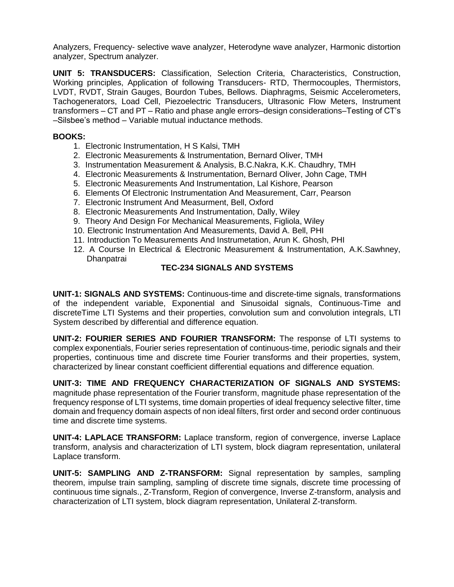Analyzers, Frequency- selective wave analyzer, Heterodyne wave analyzer, Harmonic distortion analyzer, Spectrum analyzer.

**UNIT 5: TRANSDUCERS:** Classification, Selection Criteria, Characteristics, Construction, Working principles, Application of following Transducers- RTD, Thermocouples, Thermistors, LVDT, RVDT, Strain Gauges, Bourdon Tubes, Bellows. Diaphragms, Seismic Accelerometers, Tachogenerators, Load Cell, Piezoelectric Transducers, Ultrasonic Flow Meters, Instrument transformers – CT and PT – Ratio and phase angle errors–design considerations–Testing of CT's –Silsbee's method – Variable mutual inductance methods.

#### **BOOKS:**

- 1. Electronic Instrumentation, H S Kalsi, TMH
- 2. Electronic Measurements & Instrumentation, Bernard Oliver, TMH
- 3. Instrumentation Measurement & Analysis, B.C.Nakra, K.K. Chaudhry, TMH
- 4. Electronic Measurements & Instrumentation, Bernard Oliver, John Cage, TMH
- 5. Electronic Measurements And Instrumentation, Lal Kishore, Pearson
- 6. Elements Of Electronic Instrumentation And Measurement, Carr, Pearson
- 7. Electronic Instrument And Measurment, Bell, Oxford
- 8. Electronic Measurements And Instrumentation, Dally, Wiley
- 9. Theory And Design For Mechanical Measurements, Figliola, Wiley
- 10. Electronic Instrumentation And Measurements, David A. Bell, PHI
- 11. Introduction To Measurements And Instrumetation, Arun K. Ghosh, PHI
- 12. A Course In Electrical & Electronic Measurement & Instrumentation, A.K.Sawhney, Dhanpatrai

#### **TEC-234 SIGNALS AND SYSTEMS**

**UNIT-1: SIGNALS AND SYSTEMS:** Continuous-time and discrete-time signals, transformations of the independent variable, Exponential and Sinusoidal signals, Continuous-Time and discreteTime LTI Systems and their properties, convolution sum and convolution integrals, LTI System described by differential and difference equation.

**UNIT-2: FOURIER SERIES AND FOURIER TRANSFORM:** The response of LTI systems to complex exponentials, Fourier series representation of continuous-time, periodic signals and their properties, continuous time and discrete time Fourier transforms and their properties, system, characterized by linear constant coefficient differential equations and difference equation.

**UNIT-3: TIME AND FREQUENCY CHARACTERIZATION OF SIGNALS AND SYSTEMS:**  magnitude phase representation of the Fourier transform, magnitude phase representation of the frequency response of LTI systems, time domain properties of ideal frequency selective filter, time domain and frequency domain aspects of non ideal filters, first order and second order continuous time and discrete time systems.

**UNIT-4: LAPLACE TRANSFORM:** Laplace transform, region of convergence, inverse Laplace transform, analysis and characterization of LTI system, block diagram representation, unilateral Laplace transform.

**UNIT-5: SAMPLING AND Z-TRANSFORM:** Signal representation by samples, sampling theorem, impulse train sampling, sampling of discrete time signals, discrete time processing of continuous time signals., Z-Transform, Region of convergence, Inverse Z-transform, analysis and characterization of LTI system, block diagram representation, Unilateral Z-transform.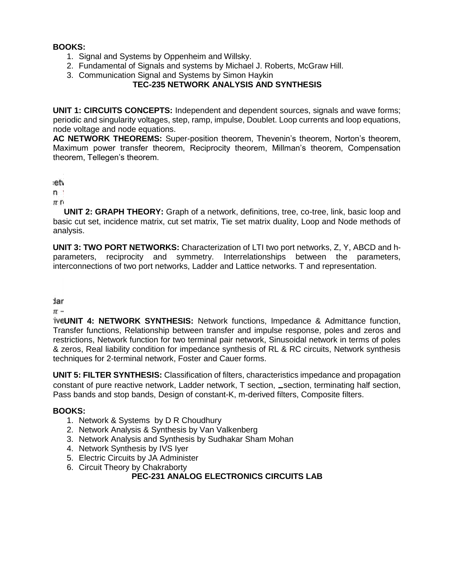# **BOOKS:**

- 1. Signal and Systems by Oppenheim and Willsky.
- 2. Fundamental of Signals and systems by Michael J. Roberts, McGraw Hill.
- 3. Communication Signal and Systems by Simon Haykin

# **TEC-235 NETWORK ANALYSIS AND SYNTHESIS**

**UNIT 1: CIRCUITS CONCEPTS:** Independent and dependent sources, signals and wave forms; periodic and singularity voltages, step, ramp, impulse, Doublet. Loop currents and loop equations, node voltage and node equations.

**AC NETWORK THEOREMS:** Super-position theorem, Thevenin's theorem, Norton's theorem, Maximum power transfer theorem, Reciprocity theorem, Millman's theorem, Compensation theorem, Tellegen's theorem.

ety

nil

 $\pi$   $\eta$ 

**UNIT 2: GRAPH THEORY:** Graph of a network, definitions, tree, co-tree, link, basic loop and basic cut set, incidence matrix, cut set matrix, Tie set matrix duality, Loop and Node methods of analysis.

**UNIT 3: TWO PORT NETWORKS:** Characterization of LTI two port networks, Z, Y, ABCD and hparameters, reciprocity and symmetry. Interrelationships between the parameters, interconnections of two port networks, Ladder and Lattice networks. T and representation.

dar

 $\pi$  -

**TIVEUNIT 4: NETWORK SYNTHESIS:** Network functions, Impedance & Admittance function, Transfer functions, Relationship between transfer and impulse response, poles and zeros and restrictions, Network function for two terminal pair network, Sinusoidal network in terms of poles & zeros, Real liability condition for impedance synthesis of RL & RC circuits, Network synthesis techniques for 2-terminal network, Foster and Cauer forms.

**UNIT 5: FILTER SYNTHESIS:** Classification of filters, characteristics impedance and propagation constant of pure reactive network, Ladder network, T section, \_section, terminating half section, Pass bands and stop bands, Design of constant-K, m-derived filters, Composite filters.

# **BOOKS:**

- 1. Network & Systems by D R Choudhury
- 2. Network Analysis & Synthesis by Van Valkenberg
- 3. Network Analysis and Synthesis by Sudhakar Sham Mohan
- 4. Network Synthesis by IVS Iyer
- 5. Electric Circuits by JA Administer
- 6. Circuit Theory by Chakraborty

# **PEC-231 ANALOG ELECTRONICS CIRCUITS LAB**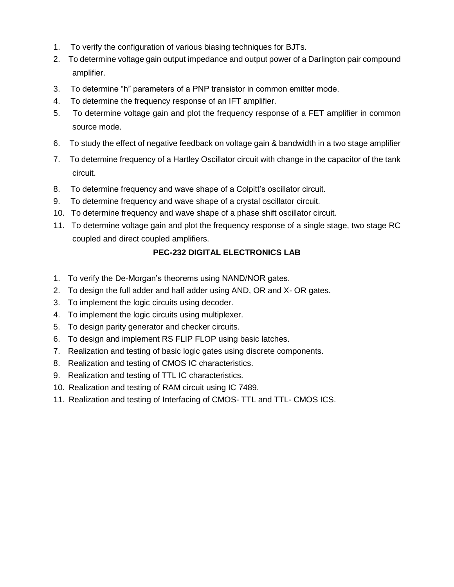- 1. To verify the configuration of various biasing techniques for BJTs.
- 2. To determine voltage gain output impedance and output power of a Darlington pair compound amplifier.
- 3. To determine "h" parameters of a PNP transistor in common emitter mode.
- 4. To determine the frequency response of an IFT amplifier.
- 5. To determine voltage gain and plot the frequency response of a FET amplifier in common source mode.
- 6. To study the effect of negative feedback on voltage gain & bandwidth in a two stage amplifier
- 7. To determine frequency of a Hartley Oscillator circuit with change in the capacitor of the tank circuit.
- 8. To determine frequency and wave shape of a Colpitt's oscillator circuit.
- 9. To determine frequency and wave shape of a crystal oscillator circuit.
- 10. To determine frequency and wave shape of a phase shift oscillator circuit.
- 11. To determine voltage gain and plot the frequency response of a single stage, two stage RC coupled and direct coupled amplifiers.

# **PEC-232 DIGITAL ELECTRONICS LAB**

- 1. To verify the De-Morgan's theorems using NAND/NOR gates.
- 2. To design the full adder and half adder using AND, OR and X- OR gates.
- 3. To implement the logic circuits using decoder.
- 4. To implement the logic circuits using multiplexer.
- 5. To design parity generator and checker circuits.
- 6. To design and implement RS FLIP FLOP using basic latches.
- 7. Realization and testing of basic logic gates using discrete components.
- 8. Realization and testing of CMOS IC characteristics.
- 9. Realization and testing of TTL IC characteristics.
- 10. Realization and testing of RAM circuit using IC 7489.
- 11. Realization and testing of Interfacing of CMOS- TTL and TTL- CMOS ICS.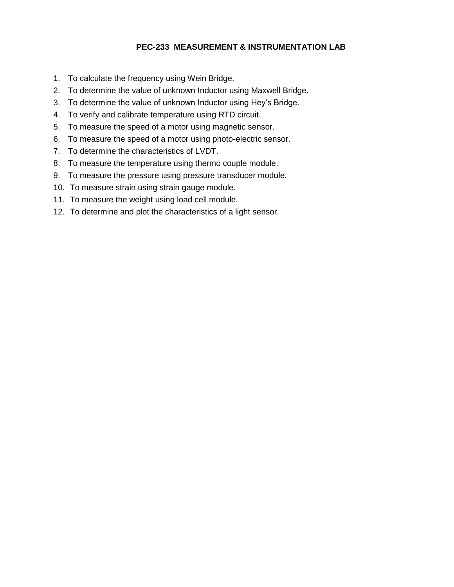# **PEC-233 MEASUREMENT & INSTRUMENTATION LAB**

- 1. To calculate the frequency using Wein Bridge.
- 2. To determine the value of unknown Inductor using Maxwell Bridge.
- 3. To determine the value of unknown Inductor using Hey's Bridge.
- 4. To verify and calibrate temperature using RTD circuit.
- 5. To measure the speed of a motor using magnetic sensor.
- 6. To measure the speed of a motor using photo-electric sensor.
- 7. To determine the characteristics of LVDT.
- 8. To measure the temperature using thermo couple module.
- 9. To measure the pressure using pressure transducer module.
- 10. To measure strain using strain gauge module.
- 11. To measure the weight using load cell module.
- 12. To determine and plot the characteristics of a light sensor.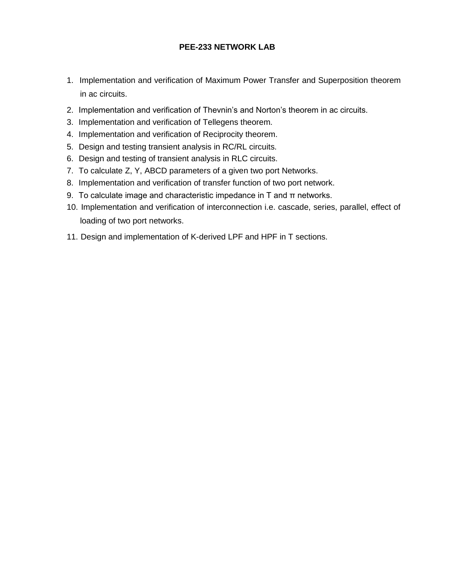# **PEE-233 NETWORK LAB**

- 1. Implementation and verification of Maximum Power Transfer and Superposition theorem in ac circuits.
- 2. Implementation and verification of Thevnin's and Norton's theorem in ac circuits.
- 3. Implementation and verification of Tellegens theorem.
- 4. Implementation and verification of Reciprocity theorem.
- 5. Design and testing transient analysis in RC/RL circuits.
- 6. Design and testing of transient analysis in RLC circuits.
- 7. To calculate Z, Y, ABCD parameters of a given two port Networks.
- 8. Implementation and verification of transfer function of two port network.
- 9. To calculate image and characteristic impedance in  $T$  and  $π$  networks.
- 10. Implementation and verification of interconnection i.e. cascade, series, parallel, effect of loading of two port networks.
- 11. Design and implementation of K-derived LPF and HPF in T sections.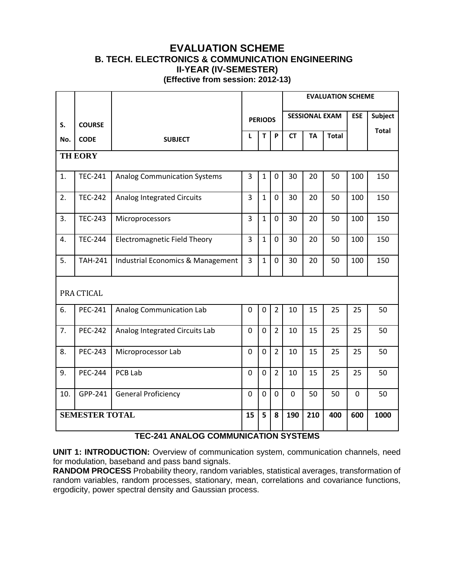# **EVALUATION SCHEME B. TECH. ELECTRONICS & COMMUNICATION ENGINEERING II-YEAR (IV-SEMESTER) (Effective from session: 2012-13)**

|                       |                |                                     |                |                |                | <b>EVALUATION SCHEME</b> |                       |              |            |                |  |
|-----------------------|----------------|-------------------------------------|----------------|----------------|----------------|--------------------------|-----------------------|--------------|------------|----------------|--|
| S.                    | <b>COURSE</b>  |                                     |                | <b>PERIODS</b> |                |                          | <b>SESSIONAL EXAM</b> |              | <b>ESE</b> | <b>Subject</b> |  |
| No.                   | <b>CODE</b>    | <b>SUBJECT</b>                      | L              | T              | P              | <b>CT</b>                | <b>TA</b>             | <b>Total</b> |            | <b>Total</b>   |  |
|                       | <b>TH EORY</b> |                                     |                |                |                |                          |                       |              |            |                |  |
| 1.                    | <b>TEC-241</b> | <b>Analog Communication Systems</b> | $\overline{3}$ | $\mathbf{1}$   | $\overline{0}$ | 30                       | 20                    | 50           | 100        | 150            |  |
| 2.                    | <b>TEC-242</b> | <b>Analog Integrated Circuits</b>   | 3              | $\mathbf{1}$   | $\mathbf 0$    | 30                       | 20                    | 50           | 100        | 150            |  |
| 3.                    | <b>TEC-243</b> | Microprocessors                     | 3              | $\mathbf{1}$   | $\mathbf 0$    | 30                       | 20                    | 50           | 100        | 150            |  |
| 4.                    | <b>TEC-244</b> | <b>Electromagnetic Field Theory</b> | $\overline{3}$ | $\mathbf{1}$   | $\mathbf 0$    | 30                       | 20                    | 50           | 100        | 150            |  |
| 5.                    | <b>TAH-241</b> | Industrial Economics & Management   | $\overline{3}$ | $\mathbf{1}$   | $\mathbf 0$    | 30                       | 20                    | 50           | 100        | 150            |  |
|                       | PRA CTICAL     |                                     |                |                |                |                          |                       |              |            |                |  |
| 6.                    | <b>PEC-241</b> | Analog Communication Lab            | 0              | $\mathbf 0$    | $\overline{2}$ | 10                       | 15                    | 25           | 25         | 50             |  |
| 7.                    | <b>PEC-242</b> | Analog Integrated Circuits Lab      | $\Omega$       | $\mathbf 0$    | $\overline{2}$ | 10                       | 15                    | 25           | 25         | 50             |  |
| 8.                    | <b>PEC-243</b> | Microprocessor Lab                  | $\overline{0}$ | $\mathbf 0$    | $\overline{2}$ | 10                       | 15                    | 25           | 25         | 50             |  |
| 9.                    | <b>PEC-244</b> | PCB Lab                             | $\overline{0}$ | $\mathbf 0$    | $\overline{2}$ | 10                       | 15                    | 25           | 25         | 50             |  |
| 10.                   | GPP-241        | <b>General Proficiency</b>          | $\overline{0}$ | $\mathbf 0$    | $\overline{0}$ | $\overline{0}$           | 50                    | 50           | 0          | 50             |  |
| <b>SEMESTER TOTAL</b> |                | 15                                  | 5              | 8              | 190            | 210                      | 400                   | 600          | 1000       |                |  |

# **TEC-241 ANALOG COMMUNICATION SYSTEMS**

**UNIT 1: INTRODUCTION:** Overview of communication system, communication channels, need for modulation, baseband and pass band signals.

**RANDOM PROCESS** Probability theory, random variables, statistical averages, transformation of random variables, random processes, stationary, mean, correlations and covariance functions, ergodicity, power spectral density and Gaussian process.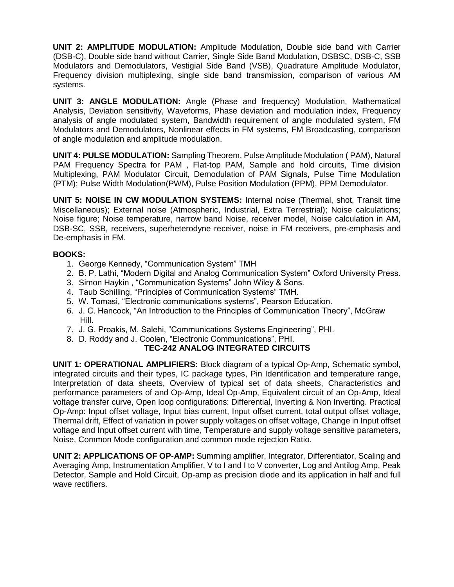**UNIT 2: AMPLITUDE MODULATION:** Amplitude Modulation, Double side band with Carrier (DSB-C), Double side band without Carrier, Single Side Band Modulation, DSBSC, DSB-C, SSB Modulators and Demodulators, Vestigial Side Band (VSB), Quadrature Amplitude Modulator, Frequency division multiplexing, single side band transmission, comparison of various AM systems.

**UNIT 3: ANGLE MODULATION:** Angle (Phase and frequency) Modulation, Mathematical Analysis, Deviation sensitivity, Waveforms, Phase deviation and modulation index, Frequency analysis of angle modulated system, Bandwidth requirement of angle modulated system, FM Modulators and Demodulators, Nonlinear effects in FM systems, FM Broadcasting, comparison of angle modulation and amplitude modulation.

**UNIT 4: PULSE MODULATION:** Sampling Theorem, Pulse Amplitude Modulation ( PAM), Natural PAM Frequency Spectra for PAM , Flat-top PAM, Sample and hold circuits, Time division Multiplexing, PAM Modulator Circuit, Demodulation of PAM Signals, Pulse Time Modulation (PTM); Pulse Width Modulation(PWM), Pulse Position Modulation (PPM), PPM Demodulator.

**UNIT 5: NOISE IN CW MODULATION SYSTEMS:** Internal noise (Thermal, shot, Transit time Miscellaneous); External noise (Atmospheric, Industrial, Extra Terrestrial); Noise calculations; Noise figure; Noise temperature, narrow band Noise, receiver model, Noise calculation in AM, DSB-SC, SSB, receivers, superheterodyne receiver, noise in FM receivers, pre-emphasis and De-emphasis in FM.

# **BOOKS:**

- 1. George Kennedy, "Communication System" TMH
- 2. B. P. Lathi, "Modern Digital and Analog Communication System" Oxford University Press.
- 3. Simon Haykin , "Communication Systems" John Wiley & Sons.
- 4. Taub Schilling, "Principles of Communication Systems" TMH.
- 5. W. Tomasi, "Electronic communications systems", Pearson Education.
- 6. J. C. Hancock, "An Introduction to the Principles of Communication Theory", McGraw Hill.
- 7. J. G. Proakis, M. Salehi, "Communications Systems Engineering", PHI.
- 8. D. Roddy and J. Coolen, "Electronic Communications", PHI.

# **TEC-242 ANALOG INTEGRATED CIRCUITS**

**UNIT 1: OPERATIONAL AMPLIFIERS:** Block diagram of a typical Op-Amp, Schematic symbol, integrated circuits and their types, IC package types, Pin Identification and temperature range, Interpretation of data sheets, Overview of typical set of data sheets, Characteristics and performance parameters of and Op-Amp, Ideal Op-Amp, Equivalent circuit of an Op-Amp, Ideal voltage transfer curve, Open loop configurations: Differential, Inverting & Non Inverting. Practical Op-Amp: Input offset voltage, Input bias current, Input offset current, total output offset voltage, Thermal drift, Effect of variation in power supply voltages on offset voltage, Change in Input offset voltage and Input offset current with time, Temperature and supply voltage sensitive parameters, Noise, Common Mode configuration and common mode rejection Ratio.

**UNIT 2: APPLICATIONS OF OP-AMP:** Summing amplifier, Integrator, Differentiator, Scaling and Averaging Amp, Instrumentation Amplifier, V to I and I to V converter, Log and Antilog Amp, Peak Detector, Sample and Hold Circuit, Op-amp as precision diode and its application in half and full wave rectifiers.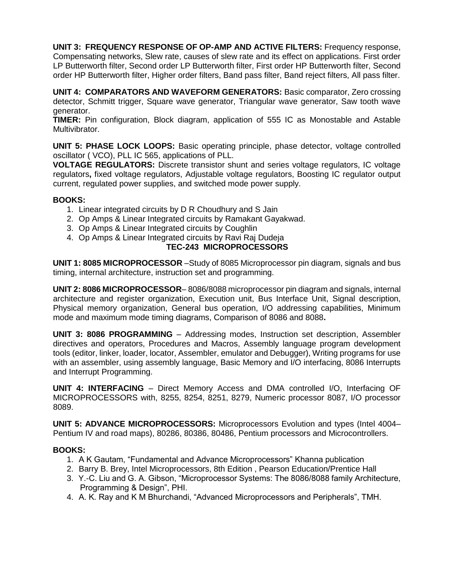**UNIT 3: FREQUENCY RESPONSE OF OP-AMP AND ACTIVE FILTERS:** Frequency response, Compensating networks, Slew rate, causes of slew rate and its effect on applications. First order LP Butterworth filter, Second order LP Butterworth filter, First order HP Butterworth filter, Second order HP Butterworth filter, Higher order filters, Band pass filter, Band reject filters, All pass filter.

**UNIT 4: COMPARATORS AND WAVEFORM GENERATORS:** Basic comparator, Zero crossing detector, Schmitt trigger, Square wave generator, Triangular wave generator, Saw tooth wave generator.

**TIMER:** Pin configuration, Block diagram, application of 555 IC as Monostable and Astable Multivibrator.

**UNIT 5: PHASE LOCK LOOPS:** Basic operating principle, phase detector, voltage controlled oscillator ( VCO), PLL IC 565, applications of PLL.

**VOLTAGE REGULATORS:** Discrete transistor shunt and series voltage regulators, IC voltage regulators**,** fixed voltage regulators, Adjustable voltage regulators, Boosting IC regulator output current, regulated power supplies, and switched mode power supply.

# **BOOKS:**

- 1. Linear integrated circuits by D R Choudhury and S Jain
- 2. Op Amps & Linear Integrated circuits by Ramakant Gayakwad.
- 3. Op Amps & Linear Integrated circuits by Coughlin
- 4. Op Amps & Linear Integrated circuits by Ravi Raj Dudeja **TEC-243 MICROPROCESSORS**

**UNIT 1: 8085 MICROPROCESSOR** –Study of 8085 Microprocessor pin diagram, signals and bus timing, internal architecture, instruction set and programming.

**UNIT 2: 8086 MICROPROCESSOR**– 8086/8088 microprocessor pin diagram and signals, internal architecture and register organization, Execution unit, Bus Interface Unit, Signal description, Physical memory organization, General bus operation, I/O addressing capabilities, Minimum mode and maximum mode timing diagrams, Comparison of 8086 and 8088**.**

**UNIT 3: 8086 PROGRAMMING** – Addressing modes, Instruction set description, Assembler directives and operators, Procedures and Macros, Assembly language program development tools (editor, linker, loader, locator, Assembler, emulator and Debugger), Writing programs for use with an assembler, using assembly language, Basic Memory and I/O interfacing, 8086 Interrupts and Interrupt Programming.

**UNIT 4: INTERFACING** – Direct Memory Access and DMA controlled I/O, Interfacing OF MICROPROCESSORS with, 8255, 8254, 8251, 8279, Numeric processor 8087, I/O processor 8089.

**UNIT 5: ADVANCE MICROPROCESSORS:** Microprocessors Evolution and types (Intel 4004– Pentium IV and road maps), 80286, 80386, 80486, Pentium processors and Microcontrollers.

# **BOOKS:**

- 1. A K Gautam, "Fundamental and Advance Microprocessors" Khanna publication
- 2. Barry B. Brey, Intel Microprocessors, 8th Edition , Pearson Education/Prentice Hall
- 3. Y.-C. Liu and G. A. Gibson, "Microprocessor Systems: The 8086/8088 family Architecture, Programming & Design", PHI.
- 4. A. K. Ray and K M Bhurchandi, "Advanced Microprocessors and Peripherals", TMH.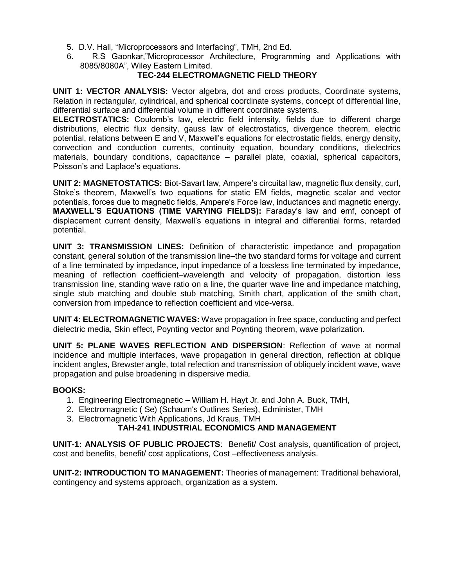- 5. D.V. Hall, "Microprocessors and Interfacing", TMH, 2nd Ed.
- 6. R.S Gaonkar,"Microprocessor Architecture, Programming and Applications with 8085/8080A", Wiley Eastern Limited.

# **TEC-244 ELECTROMAGNETIC FIELD THEORY**

**UNIT 1: VECTOR ANALYSIS:** Vector algebra, dot and cross products, Coordinate systems, Relation in rectangular, cylindrical, and spherical coordinate systems, concept of differential line, differential surface and differential volume in different coordinate systems.

**ELECTROSTATICS:** Coulomb's law, electric field intensity, fields due to different charge distributions, electric flux density, gauss law of electrostatics, divergence theorem, electric potential, relations between E and V, Maxwell's equations for electrostatic fields, energy density, convection and conduction currents, continuity equation, boundary conditions, dielectrics materials, boundary conditions, capacitance – parallel plate, coaxial, spherical capacitors, Poisson's and Laplace's equations.

**UNIT 2: MAGNETOSTATICS:** Biot-Savart law, Ampere's circuital law, magnetic flux density, curl, Stoke's theorem, Maxwell's two equations for static EM fields, magnetic scalar and vector potentials, forces due to magnetic fields, Ampere's Force law, inductances and magnetic energy. **MAXWELL'S EQUATIONS (TIME VARYING FIELDS):** Faraday's law and emf, concept of displacement current density, Maxwell's equations in integral and differential forms, retarded potential.

**UNIT 3: TRANSMISSION LINES:** Definition of characteristic impedance and propagation constant, general solution of the transmission line–the two standard forms for voltage and current of a line terminated by impedance, input impedance of a lossless line terminated by impedance, meaning of reflection coefficient–wavelength and velocity of propagation, distortion less transmission line, standing wave ratio on a line, the quarter wave line and impedance matching, single stub matching and double stub matching, Smith chart, application of the smith chart, conversion from impedance to reflection coefficient and vice-versa.

**UNIT 4: ELECTROMAGNETIC WAVES:** Wave propagation in free space, conducting and perfect dielectric media, Skin effect, Poynting vector and Poynting theorem, wave polarization.

**UNIT 5: PLANE WAVES REFLECTION AND DISPERSION**: Reflection of wave at normal incidence and multiple interfaces, wave propagation in general direction, reflection at oblique incident angles, Brewster angle, total refection and transmission of obliquely incident wave, wave propagation and pulse broadening in dispersive media.

#### **BOOKS:**

- 1. Engineering Electromagnetic William H. Hayt Jr. and John A. Buck, TMH,
- 2. Electromagnetic ( Se) (Schaum's Outlines Series), Edminister, TMH
- 3. Electromagnetic With Applications, Jd Kraus, TMH

# **TAH-241 INDUSTRIAL ECONOMICS AND MANAGEMENT**

**UNIT-1: ANALYSIS OF PUBLIC PROJECTS**: Benefit/ Cost analysis, quantification of project, cost and benefits, benefit/ cost applications, Cost –effectiveness analysis.

**UNIT-2: INTRODUCTION TO MANAGEMENT:** Theories of management: Traditional behavioral, contingency and systems approach, organization as a system.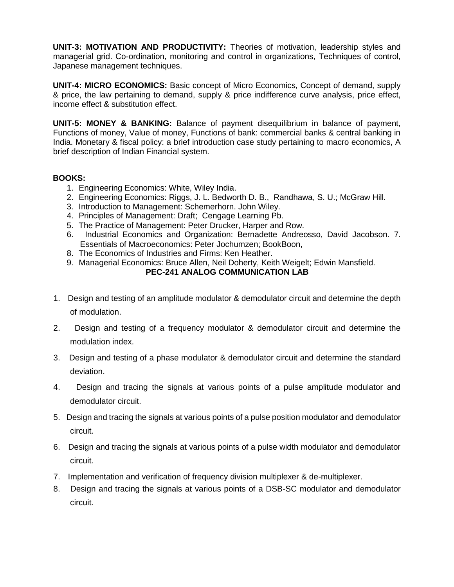**UNIT-3: MOTIVATION AND PRODUCTIVITY:** Theories of motivation, leadership styles and managerial grid. Co-ordination, monitoring and control in organizations, Techniques of control, Japanese management techniques.

**UNIT-4: MICRO ECONOMICS:** Basic concept of Micro Economics, Concept of demand, supply & price, the law pertaining to demand, supply & price indifference curve analysis, price effect, income effect & substitution effect.

**UNIT-5: MONEY & BANKING:** Balance of payment disequilibrium in balance of payment, Functions of money, Value of money, Functions of bank: commercial banks & central banking in India. Monetary & fiscal policy: a brief introduction case study pertaining to macro economics, A brief description of Indian Financial system.

# **BOOKS:**

- 1. Engineering Economics: White, Wiley India.
- 2. Engineering Economics: Riggs, J. L. Bedworth D. B., Randhawa, S. U.; McGraw Hill.
- 3. Introduction to Management: Schemerhorn. John Wiley.
- 4. Principles of Management: Draft; Cengage Learning Pb.
- 5. The Practice of Management: Peter Drucker, Harper and Row.
- 6. Industrial Economics and Organization: Bernadette Andreosso, David Jacobson. 7. Essentials of Macroeconomics: Peter Jochumzen; BookBoon,
- 8. The Economics of Industries and Firms: Ken Heather.
- 9. Managerial Economics: Bruce Allen, Neil Doherty, Keith Weigelt; Edwin Mansfield.

# **PEC-241 ANALOG COMMUNICATION LAB**

- 1. Design and testing of an amplitude modulator & demodulator circuit and determine the depth of modulation.
- 2. Design and testing of a frequency modulator & demodulator circuit and determine the modulation index.
- 3. Design and testing of a phase modulator & demodulator circuit and determine the standard deviation.
- 4. Design and tracing the signals at various points of a pulse amplitude modulator and demodulator circuit.
- 5. Design and tracing the signals at various points of a pulse position modulator and demodulator circuit.
- 6. Design and tracing the signals at various points of a pulse width modulator and demodulator circuit.
- 7. Implementation and verification of frequency division multiplexer & de-multiplexer.
- 8. Design and tracing the signals at various points of a DSB-SC modulator and demodulator circuit.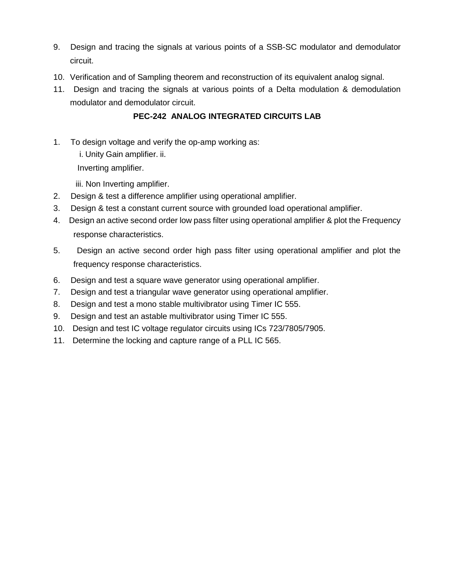- 9. Design and tracing the signals at various points of a SSB-SC modulator and demodulator circuit.
- 10. Verification and of Sampling theorem and reconstruction of its equivalent analog signal.
- 11. Design and tracing the signals at various points of a Delta modulation & demodulation modulator and demodulator circuit.

# **PEC-242 ANALOG INTEGRATED CIRCUITS LAB**

- 1. To design voltage and verify the op-amp working as:
	- i. Unity Gain amplifier. ii.

Inverting amplifier.

iii. Non Inverting amplifier.

- 2. Design & test a difference amplifier using operational amplifier.
- 3. Design & test a constant current source with grounded load operational amplifier.
- 4. Design an active second order low pass filter using operational amplifier & plot the Frequency response characteristics.
- 5. Design an active second order high pass filter using operational amplifier and plot the frequency response characteristics.
- 6. Design and test a square wave generator using operational amplifier.
- 7. Design and test a triangular wave generator using operational amplifier.
- 8. Design and test a mono stable multivibrator using Timer IC 555.
- 9. Design and test an astable multivibrator using Timer IC 555.
- 10. Design and test IC voltage regulator circuits using ICs 723/7805/7905.
- 11. Determine the locking and capture range of a PLL IC 565.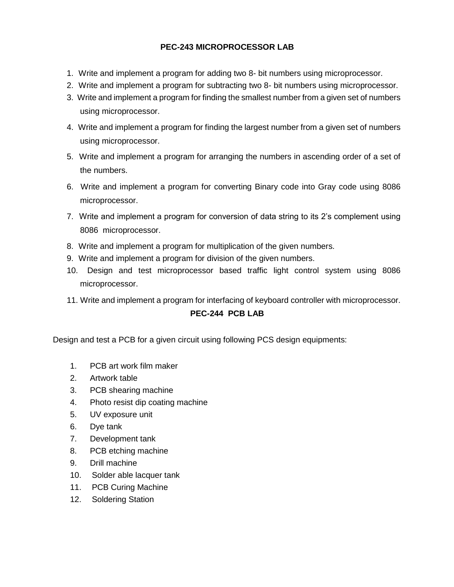# **PEC-243 MICROPROCESSOR LAB**

- 1. Write and implement a program for adding two 8- bit numbers using microprocessor.
- 2. Write and implement a program for subtracting two 8- bit numbers using microprocessor.
- 3. Write and implement a program for finding the smallest number from a given set of numbers using microprocessor.
- 4. Write and implement a program for finding the largest number from a given set of numbers using microprocessor.
- 5. Write and implement a program for arranging the numbers in ascending order of a set of the numbers.
- 6. Write and implement a program for converting Binary code into Gray code using 8086 microprocessor.
- 7. Write and implement a program for conversion of data string to its 2's complement using 8086 microprocessor.
- 8. Write and implement a program for multiplication of the given numbers.
- 9. Write and implement a program for division of the given numbers.
- 10. Design and test microprocessor based traffic light control system using 8086 microprocessor.
- 11. Write and implement a program for interfacing of keyboard controller with microprocessor.

# **PEC-244 PCB LAB**

Design and test a PCB for a given circuit using following PCS design equipments:

- 1. PCB art work film maker
- 2. Artwork table
- 3. PCB shearing machine
- 4. Photo resist dip coating machine
- 5. UV exposure unit
- 6. Dye tank
- 7. Development tank
- 8. PCB etching machine
- 9. Drill machine
- 10. Solder able lacquer tank
- 11. PCB Curing Machine
- 12. Soldering Station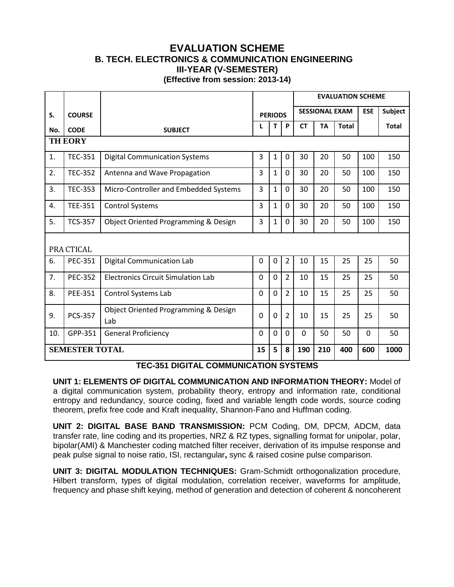# **EVALUATION SCHEME B. TECH. ELECTRONICS & COMMUNICATION ENGINEERING III-YEAR (V-SEMESTER) (Effective from session: 2013-14)**

|                       |                |                                             |                |                |                | <b>EVALUATION SCHEME</b> |                       |              |            |                |  |  |
|-----------------------|----------------|---------------------------------------------|----------------|----------------|----------------|--------------------------|-----------------------|--------------|------------|----------------|--|--|
| S.                    | <b>COURSE</b>  |                                             |                | <b>PERIODS</b> |                |                          | <b>SESSIONAL EXAM</b> |              | <b>ESE</b> | <b>Subject</b> |  |  |
| No.                   | <b>CODE</b>    | <b>SUBJECT</b>                              | L              | T              | P              | <b>CT</b>                | <b>TA</b>             | <b>Total</b> |            | <b>Total</b>   |  |  |
|                       | <b>TH EORY</b> |                                             |                |                |                |                          |                       |              |            |                |  |  |
| 1.                    | <b>TEC-351</b> | <b>Digital Communication Systems</b>        | 3              | $\mathbf{1}$   | $\Omega$       | 30                       | 20                    | 50           | 100        | 150            |  |  |
| 2.                    | <b>TEC-352</b> | Antenna and Wave Propagation                | 3              | $\mathbf{1}$   | $\mathbf{0}$   | 30                       | 20                    | 50           | 100        | 150            |  |  |
| 3.                    | <b>TEC-353</b> | Micro-Controller and Embedded Systems       | 3              | $\mathbf 1$    | $\mathbf{0}$   | 30                       | 20                    | 50           | 100        | 150            |  |  |
| 4.                    | <b>TEE-351</b> | <b>Control Systems</b>                      | $\overline{3}$ | $\mathbf{1}$   | $\mathbf 0$    | 30                       | 20                    | 50           | 100        | 150            |  |  |
| 5.                    | <b>TCS-357</b> | Object Oriented Programming & Design        | 3              | 1              | $\mathbf 0$    | 30                       | 20                    | 50           | 100        | 150            |  |  |
|                       | PRA CTICAL     |                                             |                |                |                |                          |                       |              |            |                |  |  |
| 6.                    | <b>PEC-351</b> | Digital Communication Lab                   | $\mathbf 0$    | 0              | $\overline{2}$ | 10                       | 15                    | 25           | 25         | 50             |  |  |
| 7.                    | <b>PEC-352</b> | <b>Electronics Circuit Simulation Lab</b>   | $\mathbf 0$    | $\mathbf 0$    | $\overline{2}$ | 10                       | 15                    | 25           | 25         | 50             |  |  |
| 8.                    | <b>PEE-351</b> | Control Systems Lab                         | $\mathbf 0$    | $\mathbf 0$    | $\overline{2}$ | 10                       | 15                    | 25           | 25         | 50             |  |  |
| 9.                    | <b>PCS-357</b> | Object Oriented Programming & Design<br>Lab | $\mathbf 0$    | $\mathbf 0$    | $\overline{2}$ | 10                       | 15                    | 25           | 25         | 50             |  |  |
| 10.                   | GPP-351        | <b>General Proficiency</b>                  | $\mathbf 0$    | $\Omega$       | $\mathbf 0$    | $\Omega$                 | 50                    | 50           | 0          | 50             |  |  |
| <b>SEMESTER TOTAL</b> |                | 15                                          | 5              | 8              | 190            | 210                      | 400                   | 600          | 1000       |                |  |  |

**TEC-351 DIGITAL COMMUNICATION SYSTEMS**

**UNIT 1: ELEMENTS OF DIGITAL COMMUNICATION AND INFORMATION THEORY:** Model of a digital communication system, probability theory, entropy and information rate, conditional entropy and redundancy, source coding, fixed and variable length code words, source coding theorem, prefix free code and Kraft inequality, Shannon-Fano and Huffman coding.

**UNIT 2: DIGITAL BASE BAND TRANSMISSION:** PCM Coding, DM, DPCM, ADCM, data transfer rate, line coding and its properties, NRZ & RZ types, signalling format for unipolar, polar, bipolar(AMI) & Manchester coding matched filter receiver, derivation of its impulse response and peak pulse signal to noise ratio, ISI, rectangular**,** sync & raised cosine pulse comparison.

**UNIT 3: DIGITAL MODULATION TECHNIQUES:** Gram-Schmidt orthogonalization procedure, Hilbert transform, types of digital modulation, correlation receiver, waveforms for amplitude, frequency and phase shift keying, method of generation and detection of coherent & noncoherent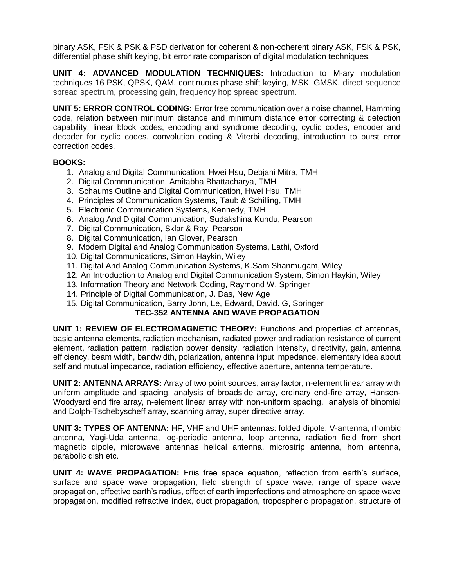binary ASK, FSK & PSK & PSD derivation for coherent & non-coherent binary ASK, FSK & PSK, differential phase shift keying, bit error rate comparison of digital modulation techniques.

**UNIT 4: ADVANCED MODULATION TECHNIQUES:** Introduction to M-ary modulation techniques 16 PSK, QPSK, QAM, continuous phase shift keying, MSK, GMSK, direct sequence spread spectrum, processing gain, frequency hop spread spectrum.

**UNIT 5: ERROR CONTROL CODING:** Error free communication over a noise channel, Hamming code, relation between minimum distance and minimum distance error correcting & detection capability, linear block codes, encoding and syndrome decoding, cyclic codes, encoder and decoder for cyclic codes, convolution coding & Viterbi decoding, introduction to burst error correction codes.

# **BOOKS:**

- 1. Analog and Digital Communication, Hwei Hsu, Debjani Mitra, TMH
- 2. Digital Commnunication, Amitabha Bhattacharya, TMH
- 3. Schaums Outline and Digital Communication, Hwei Hsu, TMH
- 4. Principles of Communication Systems, Taub & Schilling, TMH
- 5. Electronic Communication Systems, Kennedy, TMH
- 6. Analog And Digital Communication, Sudakshina Kundu, Pearson
- 7. Digital Communication, Sklar & Ray, Pearson
- 8. Digital Communication, Ian Glover, Pearson
- 9. Modern Digital and Analog Communication Systems, Lathi, Oxford
- 10. Digital Communications, Simon Haykin, Wiley
- 11. Digital And Analog Communication Systems, K.Sam Shanmugam, Wiley
- 12. An Introduction to Analog and Digital Communication System, Simon Haykin, Wiley
- 13. Information Theory and Network Coding, Raymond W, Springer
- 14. Principle of Digital Communication, J. Das, New Age
- 15. Digital Communication, Barry John, Le, Edward, David. G, Springer

# **TEC-352 ANTENNA AND WAVE PROPAGATION**

**UNIT 1: REVIEW OF ELECTROMAGNETIC THEORY:** Functions and properties of antennas, basic antenna elements, radiation mechanism, radiated power and radiation resistance of current element, radiation pattern, radiation power density, radiation intensity, directivity, gain, antenna efficiency, beam width, bandwidth, polarization, antenna input impedance, elementary idea about self and mutual impedance, radiation efficiency, effective aperture, antenna temperature.

**UNIT 2: ANTENNA ARRAYS:** Array of two point sources, array factor, n-element linear array with uniform amplitude and spacing, analysis of broadside array, ordinary end-fire array, Hansen-Woodyard end fire array, n-element linear array with non-uniform spacing, analysis of binomial and Dolph-Tschebyscheff array, scanning array, super directive array.

**UNIT 3: TYPES OF ANTENNA:** HF, VHF and UHF antennas: folded dipole, V-antenna, rhombic antenna, Yagi-Uda antenna, log-periodic antenna, loop antenna, radiation field from short magnetic dipole, microwave antennas helical antenna, microstrip antenna, horn antenna, parabolic dish etc.

**UNIT 4: WAVE PROPAGATION:** Friis free space equation, reflection from earth's surface, surface and space wave propagation, field strength of space wave, range of space wave propagation, effective earth's radius, effect of earth imperfections and atmosphere on space wave propagation, modified refractive index, duct propagation, tropospheric propagation, structure of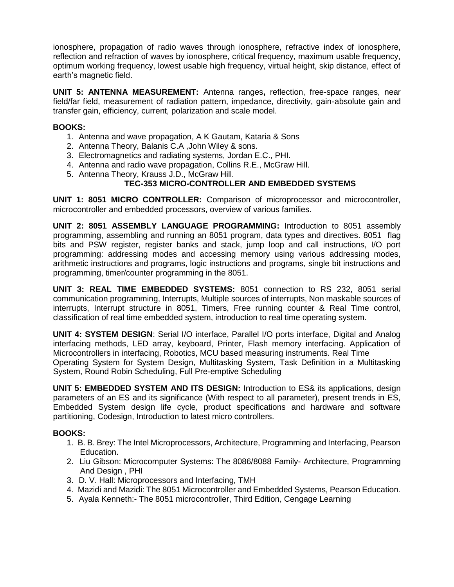ionosphere, propagation of radio waves through ionosphere, refractive index of ionosphere, reflection and refraction of waves by ionosphere, critical frequency, maximum usable frequency, optimum working frequency, lowest usable high frequency, virtual height, skip distance, effect of earth's magnetic field.

**UNIT 5: ANTENNA MEASUREMENT:** Antenna ranges**,** reflection, free-space ranges, near field/far field, measurement of radiation pattern, impedance, directivity, gain-absolute gain and transfer gain, efficiency, current, polarization and scale model.

# **BOOKS:**

- 1. Antenna and wave propagation, A K Gautam, Kataria & Sons
- 2. Antenna Theory, Balanis C.A ,John Wiley & sons.
- 3. Electromagnetics and radiating systems, Jordan E.C., PHI.
- 4. Antenna and radio wave propagation, Collins R.E., McGraw Hill.
- 5. Antenna Theory, Krauss J.D., McGraw Hill.

# **TEC-353 MICRO-CONTROLLER AND EMBEDDED SYSTEMS**

**UNIT 1: 8051 MICRO CONTROLLER:** Comparison of microprocessor and microcontroller, microcontroller and embedded processors, overview of various families.

**UNIT 2: 8051 ASSEMBLY LANGUAGE PROGRAMMING:** Introduction to 8051 assembly programming, assembling and running an 8051 program, data types and directives. 8051 flag bits and PSW register, register banks and stack, jump loop and call instructions, I/O port programming: addressing modes and accessing memory using various addressing modes, arithmetic instructions and programs, logic instructions and programs, single bit instructions and programming, timer/counter programming in the 8051.

**UNIT 3: REAL TIME EMBEDDED SYSTEMS:** 8051 connection to RS 232, 8051 serial communication programming, Interrupts, Multiple sources of interrupts, Non maskable sources of interrupts, Interrupt structure in 8051, Timers, Free running counter & Real Time control, classification of real time embedded system, introduction to real time operating system.

**UNIT 4: SYSTEM DESIGN**: Serial I/O interface, Parallel I/O ports interface, Digital and Analog interfacing methods, LED array, keyboard, Printer, Flash memory interfacing. Application of Microcontrollers in interfacing, Robotics, MCU based measuring instruments. Real Time Operating System for System Design, Multitasking System, Task Definition in a Multitasking

System, Round Robin Scheduling, Full Pre-emptive Scheduling

**UNIT 5: EMBEDDED SYSTEM AND ITS DESIGN:** Introduction to ES& its applications, design parameters of an ES and its significance (With respect to all parameter), present trends in ES, Embedded System design life cycle, product specifications and hardware and software partitioning, Codesign, Introduction to latest micro controllers.

# **BOOKS:**

- 1. B. B. Brey: The Intel Microprocessors, Architecture, Programming and Interfacing, Pearson Education.
- 2. Liu Gibson: Microcomputer Systems: The 8086/8088 Family- Architecture, Programming And Design , PHI
- 3. D. V. Hall: Microprocessors and Interfacing, TMH
- 4. Mazidi and Mazidi: The 8051 Microcontroller and Embedded Systems, Pearson Education.
- 5. Ayala Kenneth:- The 8051 microcontroller, Third Edition, Cengage Learning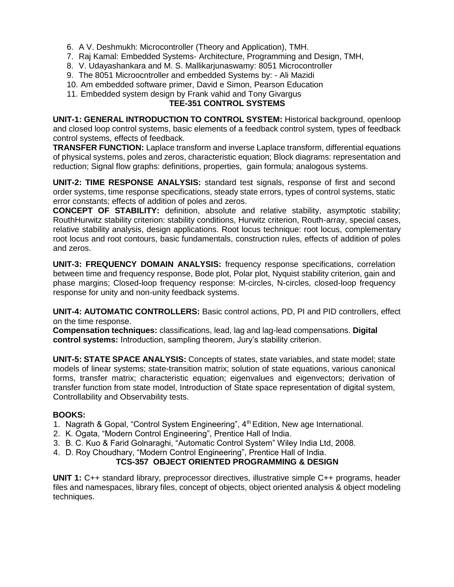- 6. A V. Deshmukh: Microcontroller (Theory and Application), TMH.
- 7. Raj Kamal: Embedded Systems- Architecture, Programming and Design, TMH,
- 8. V. Udayashankara and M. S. Mallikarjunaswamy: 8051 Microcontroller
- 9. The 8051 Microocntroller and embedded Systems by: Ali Mazidi
- 10. Am embedded software primer, David e Simon, Pearson Education
- 11. Embedded system design by Frank vahid and Tony Givargus

# **TEE-351 CONTROL SYSTEMS**

**UNIT-1: GENERAL INTRODUCTION TO CONTROL SYSTEM:** Historical background, openloop and closed loop control systems, basic elements of a feedback control system, types of feedback control systems, effects of feedback.

**TRANSFER FUNCTION:** Laplace transform and inverse Laplace transform, differential equations of physical systems, poles and zeros, characteristic equation; Block diagrams: representation and reduction; Signal flow graphs: definitions, properties, gain formula; analogous systems.

**UNIT-2: TIME RESPONSE ANALYSIS:** standard test signals, response of first and second order systems, time response specifications, steady state errors, types of control systems, static error constants; effects of addition of poles and zeros.

**CONCEPT OF STABILITY:** definition, absolute and relative stability, asymptotic stability; RouthHurwitz stability criterion: stability conditions, Hurwitz criterion, Routh-array, special cases, relative stability analysis, design applications. Root locus technique: root locus, complementary root locus and root contours, basic fundamentals, construction rules, effects of addition of poles and zeros.

**UNIT-3: FREQUENCY DOMAIN ANALYSIS:** frequency response specifications, correlation between time and frequency response, Bode plot, Polar plot, Nyquist stability criterion, gain and phase margins; Closed-loop frequency response: M-circles, N-circles, closed-loop frequency response for unity and non-unity feedback systems.

**UNIT-4: AUTOMATIC CONTROLLERS:** Basic control actions, PD, PI and PID controllers, effect on the time response.

**Compensation techniques:** classifications, lead, lag and lag-lead compensations. **Digital control systems:** Introduction, sampling theorem, Jury's stability criterion.

**UNIT-5: STATE SPACE ANALYSIS:** Concepts of states, state variables, and state model; state models of linear systems; state-transition matrix; solution of state equations, various canonical forms, transfer matrix; characteristic equation; eigenvalues and eigenvectors; derivation of transfer function from state model, Introduction of State space representation of digital system, Controllability and Observability tests.

# **BOOKS:**

- 1. Nagrath & Gopal, "Control System Engineering", 4<sup>th</sup> Edition, New age International.
- 2. K. Ogata, "Modern Control Engineering", Prentice Hall of India.
- 3. B. C. Kuo & Farid Golnaraghi, "Automatic Control System" Wiley India Ltd, 2008.
- 4. D. Roy Choudhary, "Modern Control Engineering", Prentice Hall of India.

# **TCS-357 OBJECT ORIENTED PROGRAMMING & DESIGN**

**UNIT 1:** C++ standard library, preprocessor directives, illustrative simple C++ programs, header files and namespaces, library files, concept of objects, object oriented analysis & object modeling techniques.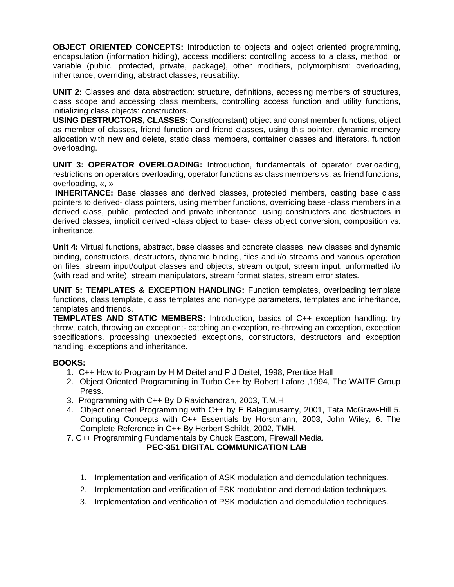**OBJECT ORIENTED CONCEPTS:** Introduction to objects and object oriented programming, encapsulation (information hiding), access modifiers: controlling access to a class, method, or variable (public, protected, private, package), other modifiers, polymorphism: overloading, inheritance, overriding, abstract classes, reusability.

**UNIT 2:** Classes and data abstraction: structure, definitions, accessing members of structures, class scope and accessing class members, controlling access function and utility functions, initializing class objects: constructors.

**USING DESTRUCTORS, CLASSES:** Const(constant) object and const member functions, object as member of classes, friend function and friend classes, using this pointer, dynamic memory allocation with new and delete, static class members, container classes and iiterators, function overloading.

**UNIT 3: OPERATOR OVERLOADING:** Introduction, fundamentals of operator overloading, restrictions on operators overloading, operator functions as class members vs. as friend functions, overloading, «, »

**INHERITANCE:** Base classes and derived classes, protected members, casting base class pointers to derived- class pointers, using member functions, overriding base -class members in a derived class, public, protected and private inheritance, using constructors and destructors in derived classes, implicit derived -class object to base- class object conversion, composition vs. inheritance.

**Unit 4:** Virtual functions, abstract, base classes and concrete classes, new classes and dynamic binding, constructors, destructors, dynamic binding, files and i/o streams and various operation on files, stream input/output classes and objects, stream output, stream input, unformatted i/o (with read and write), stream manipulators, stream format states, stream error states.

**UNIT 5: TEMPLATES & EXCEPTION HANDLING:** Function templates, overloading template functions, class template, class templates and non-type parameters, templates and inheritance, templates and friends.

**TEMPLATES AND STATIC MEMBERS:** Introduction, basics of C++ exception handling: try throw, catch, throwing an exception;- catching an exception, re-throwing an exception, exception specifications, processing unexpected exceptions, constructors, destructors and exception handling, exceptions and inheritance.

# **BOOKS:**

- 1. C++ How to Program by H M Deitel and P J Deitel, 1998, Prentice Hall
- 2. Object Oriented Programming in Turbo C++ by Robert Lafore ,1994, The WAITE Group Press.
- 3. Programming with C++ By D Ravichandran, 2003, T.M.H
- 4. Object oriented Programming with C++ by E Balagurusamy, 2001, Tata McGraw-Hill 5. Computing Concepts with C++ Essentials by Horstmann, 2003, John Wiley, 6. The Complete Reference in C++ By Herbert Schildt, 2002, TMH.
- 7. C++ Programming Fundamentals by Chuck Easttom, Firewall Media.

# **PEC-351 DIGITAL COMMUNICATION LAB**

- 1. Implementation and verification of ASK modulation and demodulation techniques.
- 2. Implementation and verification of FSK modulation and demodulation techniques.
- 3. Implementation and verification of PSK modulation and demodulation techniques.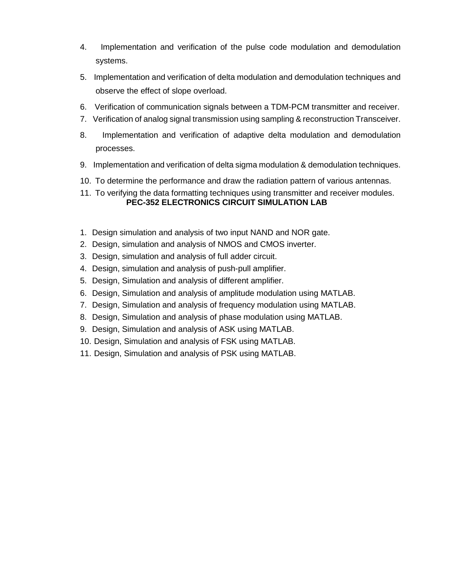- 4. Implementation and verification of the pulse code modulation and demodulation systems.
- 5. Implementation and verification of delta modulation and demodulation techniques and observe the effect of slope overload.
- 6. Verification of communication signals between a TDM-PCM transmitter and receiver.
- 7. Verification of analog signal transmission using sampling & reconstruction Transceiver.
- 8. Implementation and verification of adaptive delta modulation and demodulation processes.
- 9. Implementation and verification of delta sigma modulation & demodulation techniques.
- 10. To determine the performance and draw the radiation pattern of various antennas.
- 11. To verifying the data formatting techniques using transmitter and receiver modules. **PEC-352 ELECTRONICS CIRCUIT SIMULATION LAB**
- 1. Design simulation and analysis of two input NAND and NOR gate.
- 2. Design, simulation and analysis of NMOS and CMOS inverter.
- 3. Design, simulation and analysis of full adder circuit.
- 4. Design, simulation and analysis of push-pull amplifier.
- 5. Design, Simulation and analysis of different amplifier.
- 6. Design, Simulation and analysis of amplitude modulation using MATLAB.
- 7. Design, Simulation and analysis of frequency modulation using MATLAB.
- 8. Design, Simulation and analysis of phase modulation using MATLAB.
- 9. Design, Simulation and analysis of ASK using MATLAB.
- 10. Design, Simulation and analysis of FSK using MATLAB.
- 11. Design, Simulation and analysis of PSK using MATLAB.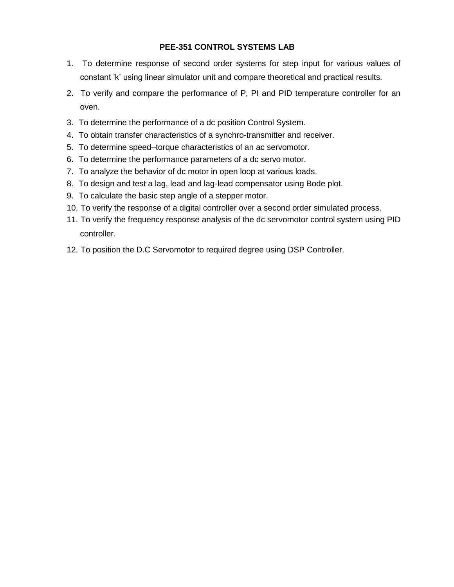# **PEE-351 CONTROL SYSTEMS LAB**

- 1. To determine response of second order systems for step input for various values of constant 'k' using linear simulator unit and compare theoretical and practical results.
- 2. To verify and compare the performance of P, PI and PID temperature controller for an oven.
- 3. To determine the performance of a dc position Control System.
- 4. To obtain transfer characteristics of a synchro-transmitter and receiver.
- 5. To determine speed–torque characteristics of an ac servomotor.
- 6. To determine the performance parameters of a dc servo motor.
- 7. To analyze the behavior of dc motor in open loop at various loads.
- 8. To design and test a lag, lead and lag-lead compensator using Bode plot.
- 9. To calculate the basic step angle of a stepper motor.
- 10. To verify the response of a digital controller over a second order simulated process.
- 11. To verify the frequency response analysis of the dc servomotor control system using PID controller.
- 12. To position the D.C Servomotor to required degree using DSP Controller.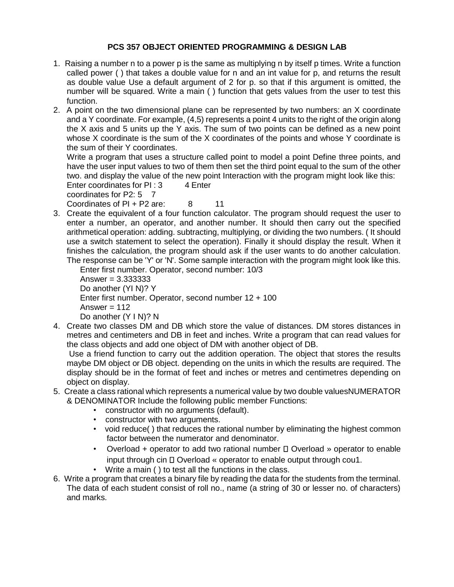# **PCS 357 OBJECT ORIENTED PROGRAMMING & DESIGN LAB**

- 1. Raising a number n to a power p is the same as multiplying n by itself p times. Write a function called power ( ) that takes a double value for n and an int value for p, and returns the result as double value Use a default argument of 2 for p. so that if this argument is omitted, the number will be squared. Write a main ( ) function that gets values from the user to test this function.
- 2. A point on the two dimensional plane can be represented by two numbers: an X coordinate and a Y coordinate. For example, (4,5) represents a point 4 units to the right of the origin along the X axis and 5 units up the Y axis. The sum of two points can be defined as a new point whose X coordinate is the sum of the X coordinates of the points and whose Y coordinate is the sum of their Y coordinates.

Write a program that uses a structure called point to model a point Define three points, and have the user input values to two of them then set the third point equal to the sum of the other two. and display the value of the new point Interaction with the program might look like this:

Enter coordinates for PI: 3 4 Enter coordinates for  $P2: 5 \times 7$ Coordinates of PI + P2 are: 8 11

3. Create the equivalent of a four function calculator. The program should request the user to enter a number, an operator, and another number. It should then carry out the specified arithmetical operation: adding. subtracting, multiplying, or dividing the two numbers. ( It should use a switch statement to select the operation). Finally it should display the result. When it finishes the calculation, the program should ask if the user wants to do another calculation. The response can be 'Y' or 'N'. Some sample interaction with the program might look like this.

Enter first number. Operator, second number: 10/3  $Answer = 3.333333$ Do another (YI N)? Y Enter first number. Operator, second number 12 + 100 Answer  $= 112$ Do another (Y I N)? N

4. Create two classes DM and DB which store the value of distances. DM stores distances in metres and centimeters and DB in feet and inches. Write a program that can read values for the class objects and add one object of DM with another object of DB.

Use a friend function to carry out the addition operation. The object that stores the results maybe DM object or DB object. depending on the units in which the results are required. The display should be in the format of feet and inches or metres and centimetres depending on object on display.

- 5. Create a class rational which represents a numerical value by two double valuesNUMERATOR & DENOMINATOR Include the following public member Functions:
	- constructor with no arguments (default).
	- constructor with two arguments.
	- void reduce( ) that reduces the rational number by eliminating the highest common factor between the numerator and denominator.
	- Overload + operator to add two rational number  $\square$  Overload » operator to enable input through cin Overload « operator to enable output through cou1.
	- Write a main ( ) to test all the functions in the class.
- 6. Write a program that creates a binary file by reading the data for the students from the terminal. The data of each student consist of roll no., name (a string of 30 or lesser no. of characters) and marks.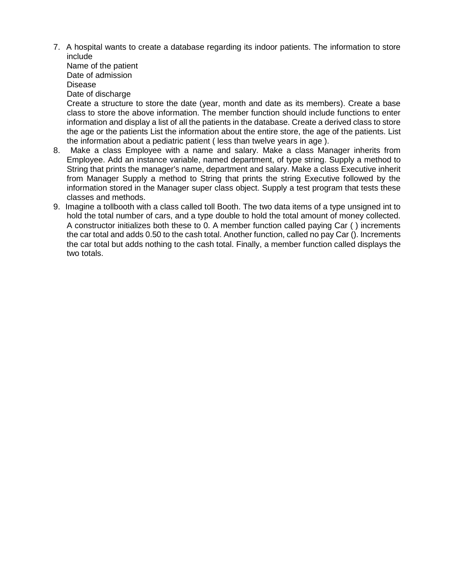7. A hospital wants to create a database regarding its indoor patients. The information to store include

Name of the patient Date of admission Disease

Date of discharge

Create a structure to store the date (year, month and date as its members). Create a base class to store the above information. The member function should include functions to enter information and display a list of all the patients in the database. Create a derived class to store the age or the patients List the information about the entire store, the age of the patients. List the information about a pediatric patient ( less than twelve years in age ).

- 8. Make a class Employee with a name and salary. Make a class Manager inherits from Employee. Add an instance variable, named department, of type string. Supply a method to String that prints the manager's name, department and salary. Make a class Executive inherit from Manager Supply a method to String that prints the string Executive followed by the information stored in the Manager super class object. Supply a test program that tests these classes and methods.
- 9. Imagine a tollbooth with a class called toll Booth. The two data items of a type unsigned int to hold the total number of cars, and a type double to hold the total amount of money collected. A constructor initializes both these to 0. A member function called paying Car ( ) increments the car total and adds 0.50 to the cash total. Another function, called no pay Car (). Increments the car total but adds nothing to the cash total. Finally, a member function called displays the two totals.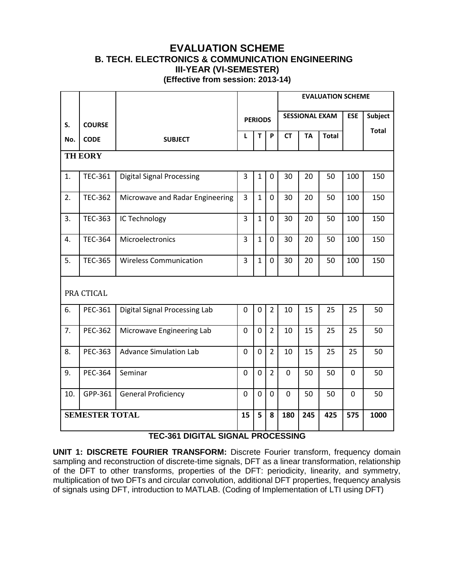# **EVALUATION SCHEME B. TECH. ELECTRONICS & COMMUNICATION ENGINEERING III-YEAR (VI-SEMESTER) (Effective from session: 2013-14)**

|                       |                |                                  |                |                |                | <b>EVALUATION SCHEME</b> |                       |              |             |              |  |
|-----------------------|----------------|----------------------------------|----------------|----------------|----------------|--------------------------|-----------------------|--------------|-------------|--------------|--|
| S.                    | <b>COURSE</b>  |                                  |                | <b>PERIODS</b> |                |                          | <b>SESSIONAL EXAM</b> |              | <b>ESE</b>  | Subject      |  |
| No.                   | <b>CODE</b>    | <b>SUBJECT</b>                   | L              | т              | P              | <b>CT</b>                | <b>TA</b>             | <b>Total</b> |             | <b>Total</b> |  |
| <b>TH EORY</b>        |                |                                  |                |                |                |                          |                       |              |             |              |  |
| 1.                    | <b>TEC-361</b> | <b>Digital Signal Processing</b> | $\overline{3}$ | $\mathbf{1}$   | $\overline{0}$ | 30                       | 20                    | 50           | 100         | 150          |  |
| 2.                    | <b>TEC-362</b> | Microwave and Radar Engineering  | $\overline{3}$ | $\mathbf{1}$   | $\mathbf{0}$   | 30                       | 20                    | 50           | 100         | 150          |  |
| 3.                    | <b>TEC-363</b> | IC Technology                    | $\overline{3}$ | $\mathbf{1}$   | $\mathbf 0$    | 30                       | 20                    | 50           | 100         | 150          |  |
| 4.                    | <b>TEC-364</b> | Microelectronics                 | $\overline{3}$ | $\mathbf{1}$   | $\overline{0}$ | 30                       | 20                    | 50           | 100         | 150          |  |
| 5.                    | <b>TEC-365</b> | <b>Wireless Communication</b>    | 3              | $\mathbf{1}$   | $\mathbf 0$    | 30                       | 20                    | 50           | 100         | 150          |  |
|                       | PRA CTICAL     |                                  |                |                |                |                          |                       |              |             |              |  |
| 6.                    | PEC-361        | Digital Signal Processing Lab    | $\mathbf 0$    | 0              | $\overline{2}$ | 10                       | 15                    | 25           | 25          | 50           |  |
| 7.                    | <b>PEC-362</b> | Microwave Engineering Lab        | 0              | $\mathbf 0$    | $\overline{2}$ | 10                       | 15                    | 25           | 25          | 50           |  |
| 8.                    | PEC-363        | <b>Advance Simulation Lab</b>    | $\overline{0}$ | $\mathbf 0$    | $\overline{2}$ | 10                       | 15                    | 25           | 25          | 50           |  |
| 9.                    | PEC-364        | Seminar                          | $\mathbf{0}$   | $\mathbf 0$    | $\overline{2}$ | $\mathbf 0$              | 50                    | 50           | $\mathbf 0$ | 50           |  |
| 10.                   | GPP-361        | <b>General Proficiency</b>       | $\mathbf 0$    | $\mathbf 0$    | $\Omega$       | $\Omega$                 | 50                    | 50           | $\mathbf 0$ | 50           |  |
| <b>SEMESTER TOTAL</b> |                | 15                               | 5              | 8              | 180            | 245                      | 425                   | 575          | 1000        |              |  |

# **TEC-361 DIGITAL SIGNAL PROCESSING**

**UNIT 1: DISCRETE FOURIER TRANSFORM:** Discrete Fourier transform, frequency domain sampling and reconstruction of discrete-time signals, DFT as a linear transformation, relationship of the DFT to other transforms, properties of the DFT: periodicity, linearity, and symmetry, multiplication of two DFTs and circular convolution, additional DFT properties, frequency analysis of signals using DFT, introduction to MATLAB. (Coding of Implementation of LTI using DFT)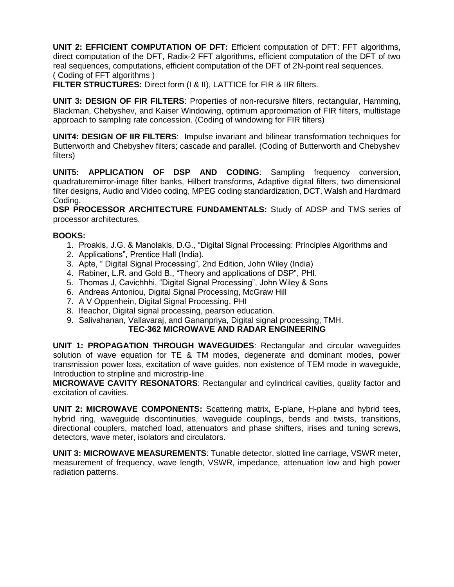**UNIT 2: EFFICIENT COMPUTATION OF DFT:** Efficient computation of DFT: FFT algorithms, direct computation of the DFT, Radix-2 FFT algorithms, efficient computation of the DFT of two real sequences, computations, efficient computation of the DFT of 2N-point real sequences. ( Coding of FFT algorithms )

**FILTER STRUCTURES:** Direct form (I & II), LATTICE for FIR & IIR filters.

**UNIT 3: DESIGN OF FIR FILTERS**: Properties of non-recursive filters, rectangular, Hamming, Blackman, Chebyshev, and Kaiser Windowing, optimum approximation of FIR filters, multistage approach to sampling rate concession. (Coding of windowing for FIR filters)

**UNIT4: DESIGN OF IIR FILTERS**: Impulse invariant and bilinear transformation techniques for Butterworth and Chebyshev filters; cascade and parallel. (Coding of Butterworth and Chebyshev filters)

**UNIT5: APPLICATION OF DSP AND CODING**: Sampling frequency conversion, quadraturemirror-image filter banks, Hilbert transforms, Adaptive digital filters, two dimensional filter designs, Audio and Video coding, MPEG coding standardization, DCT, Walsh and Hardmard Coding.

**DSP PROCESSOR ARCHITECTURE FUNDAMENTALS:** Study of ADSP and TMS series of processor architectures.

# **BOOKS:**

- 1. Proakis, J.G. & Manolakis, D.G., "Digital Signal Processing: Principles Algorithms and
- 2. Applications", Prentice Hall (India).
- 3. Apte, " Digital Signal Processing", 2nd Edition, John Wiley (India)
- 4. Rabiner, L.R. and Gold B., "Theory and applications of DSP", PHI.
- 5. Thomas J, Cavichhhi, "Digital Signal Processing", John Wiley & Sons
- 6. Andreas Antoniou, Digital Signal Processing, McGraw Hill
- 7. A V Oppenhein, Digital Signal Processing, PHI
- 8. Ifeachor, Digital signal processing, pearson education.
- 9. Salivahanan, Vallavaraj, and Gananpriya, Digital signal processing, TMH.

# **TEC-362 MICROWAVE AND RADAR ENGINEERING**

**UNIT 1: PROPAGATION THROUGH WAVEGUIDES**: Rectangular and circular waveguides solution of wave equation for TE & TM modes, degenerate and dominant modes, power transmission power loss, excitation of wave guides, non existence of TEM mode in waveguide, Introduction to stripline and microstrip-line.

**MICROWAVE CAVITY RESONATORS**: Rectangular and cylindrical cavities, quality factor and excitation of cavities.

**UNIT 2: MICROWAVE COMPONENTS:** Scattering matrix, E-plane, H-plane and hybrid tees, hybrid ring, waveguide discontinuities, waveguide couplings, bends and twists, transitions, directional couplers, matched load, attenuators and phase shifters, irises and tuning screws, detectors, wave meter, isolators and circulators.

**UNIT 3: MICROWAVE MEASUREMENTS**: Tunable detector, slotted line carriage, VSWR meter, measurement of frequency, wave length, VSWR, impedance, attenuation low and high power radiation patterns.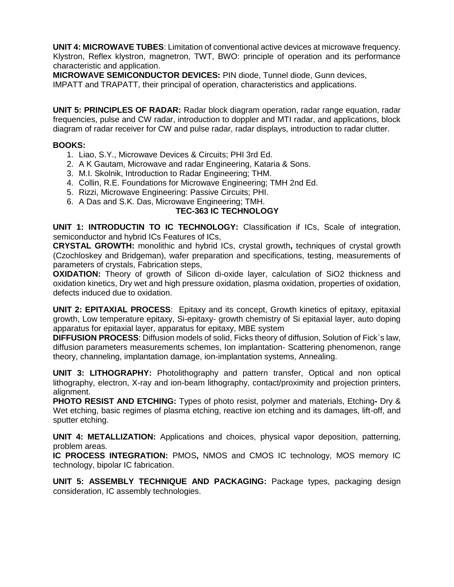**UNIT 4: MICROWAVE TUBES**: Limitation of conventional active devices at microwave frequency. Klystron, Reflex klystron, magnetron, TWT, BWO: principle of operation and its performance characteristic and application.

**MICROWAVE SEMICONDUCTOR DEVICES:** PIN diode, Tunnel diode, Gunn devices, IMPATT and TRAPATT, their principal of operation, characteristics and applications.

**UNIT 5: PRINCIPLES OF RADAR:** Radar block diagram operation, radar range equation, radar frequencies, pulse and CW radar, introduction to doppler and MTI radar, and applications, block diagram of radar receiver for CW and pulse radar, radar displays, introduction to radar clutter.

# **BOOKS:**

- 1. Liao, S.Y., Microwave Devices & Circuits; PHI 3rd Ed.
- 2. A K Gautam, Microwave and radar Engineering, Kataria & Sons.
- 3. M.I. Skolnik, Introduction to Radar Engineering; THM.
- 4. Collin, R.E. Foundations for Microwave Engineering; TMH 2nd Ed.
- 5. Rizzi, Microwave Engineering: Passive Circuits; PHI.
- 6. A Das and S.K. Das, Microwave Engineering; TMH.

#### **TEC-363 IC TECHNOLOGY**

**UNIT 1: INTRODUCTIN TO IC TECHNOLOGY:** Classification if ICs, Scale of integration, semiconductor and hybrid ICs Features of ICs,

**CRYSTAL GROWTH:** monolithic and hybrid ICs, crystal growth**,** techniques of crystal growth (Czochloskey and Bridgeman), wafer preparation and specifications, testing, measurements of parameters of crystals, Fabrication steps,

**OXIDATION:** Theory of growth of Silicon di-oxide layer, calculation of SiO2 thickness and oxidation kinetics, Dry wet and high pressure oxidation, plasma oxidation, properties of oxidation, defects induced due to oxidation.

**UNIT 2: EPITAXIAL PROCESS**: Epitaxy and its concept, Growth kinetics of epitaxy, epitaxial growth, Low temperature epitaxy, Si-epitaxy- growth chemistry of Si epitaxial layer, auto doping apparatus for epitaxial layer, apparatus for epitaxy, MBE system

**DIFFUSION PROCESS**: Diffusion models of solid, Ficks theory of diffusion, Solution of Fick`s law, diffusion parameters measurements schemes, Ion implantation- Scattering phenomenon, range theory, channeling, implantation damage, ion-implantation systems, Annealing.

**UNIT 3: LITHOGRAPHY:** Photolithography and pattern transfer, Optical and non optical lithography, electron, X-ray and ion-beam lithography, contact/proximity and projection printers, alignment.

**PHOTO RESIST AND ETCHING:** Types of photo resist, polymer and materials, Etching**-** Dry & Wet etching, basic regimes of plasma etching, reactive ion etching and its damages, lift-off, and sputter etching.

**UNIT 4: METALLIZATION:** Applications and choices, physical vapor deposition, patterning, problem areas.

**IC PROCESS INTEGRATION:** PMOS**,** NMOS and CMOS IC technology, MOS memory IC technology, bipolar IC fabrication.

**UNIT 5: ASSEMBLY TECHNIQUE AND PACKAGING:** Package types, packaging design consideration, IC assembly technologies.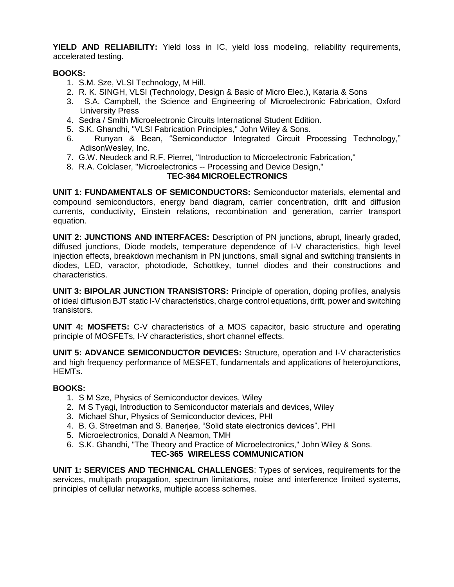**YIELD AND RELIABILITY:** Yield loss in IC, yield loss modeling, reliability requirements, accelerated testing.

# **BOOKS:**

- 1. S.M. Sze, VLSI Technology, M Hill.
- 2. R. K. SINGH, VLSI (Technology, Design & Basic of Micro Elec.), Kataria & Sons
- 3. S.A. Campbell, the Science and Engineering of Microelectronic Fabrication, Oxford University Press
- 4. Sedra / Smith Microelectronic Circuits International Student Edition.
- 5. S.K. Ghandhi, "VLSI Fabrication Principles," John Wiley & Sons.
- 6. Runyan & Bean, "Semiconductor Integrated Circuit Processing Technology," AdisonWesley, Inc.
- 7. G.W. Neudeck and R.F. Pierret, "Introduction to Microelectronic Fabrication,"
- 8. R.A. Colclaser, "Microelectronics -- Processing and Device Design,"

# **TEC-364 MICROELECTRONICS**

**UNIT 1: FUNDAMENTALS OF SEMICONDUCTORS:** Semiconductor materials, elemental and compound semiconductors, energy band diagram, carrier concentration, drift and diffusion currents, conductivity, Einstein relations, recombination and generation, carrier transport equation.

**UNIT 2: JUNCTIONS AND INTERFACES:** Description of PN junctions, abrupt, linearly graded, diffused junctions, Diode models, temperature dependence of I-V characteristics, high level injection effects, breakdown mechanism in PN junctions, small signal and switching transients in diodes, LED, varactor, photodiode, Schottkey, tunnel diodes and their constructions and characteristics.

**UNIT 3: BIPOLAR JUNCTION TRANSISTORS:** Principle of operation, doping profiles, analysis of ideal diffusion BJT static I-V characteristics, charge control equations, drift, power and switching transistors.

**UNIT 4: MOSFETS:** C-V characteristics of a MOS capacitor, basic structure and operating principle of MOSFETs, I-V characteristics, short channel effects.

**UNIT 5: ADVANCE SEMICONDUCTOR DEVICES:** Structure, operation and I-V characteristics and high frequency performance of MESFET, fundamentals and applications of heterojunctions, HEMTs.

# **BOOKS:**

- 1. S M Sze, Physics of Semiconductor devices, Wiley
- 2. M S Tyagi, Introduction to Semiconductor materials and devices, Wiley
- 3. Michael Shur, Physics of Semiconductor devices, PHI
- 4. B. G. Streetman and S. Banerjee, "Solid state electronics devices", PHI
- 5. Microelectronics, Donald A Neamon, TMH
- 6. S.K. Ghandhi, "The Theory and Practice of Microelectronics," John Wiley & Sons.

# **TEC-365 WIRELESS COMMUNICATION**

**UNIT 1: SERVICES AND TECHNICAL CHALLENGES**: Types of services, requirements for the services, multipath propagation, spectrum limitations, noise and interference limited systems, principles of cellular networks, multiple access schemes.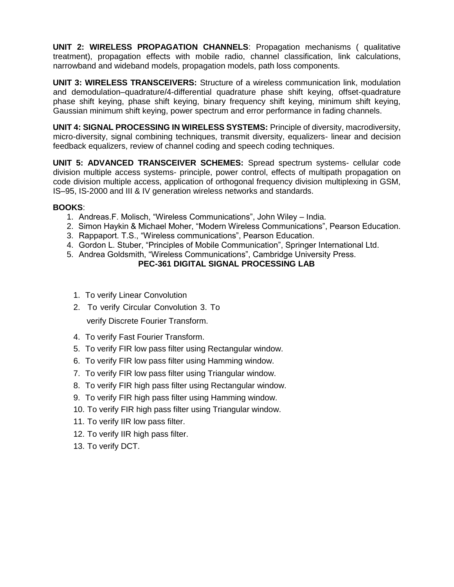**UNIT 2: WIRELESS PROPAGATION CHANNELS**: Propagation mechanisms ( qualitative treatment), propagation effects with mobile radio, channel classification, link calculations, narrowband and wideband models, propagation models, path loss components.

**UNIT 3: WIRELESS TRANSCEIVERS:** Structure of a wireless communication link, modulation and demodulation–quadrature/4-differential quadrature phase shift keying, offset-quadrature phase shift keying, phase shift keying, binary frequency shift keying, minimum shift keying, Gaussian minimum shift keying, power spectrum and error performance in fading channels.

**UNIT 4: SIGNAL PROCESSING IN WIRELESS SYSTEMS:** Principle of diversity, macrodiversity, micro-diversity, signal combining techniques, transmit diversity, equalizers- linear and decision feedback equalizers, review of channel coding and speech coding techniques.

**UNIT 5: ADVANCED TRANSCEIVER SCHEMES:** Spread spectrum systems- cellular code division multiple access systems- principle, power control, effects of multipath propagation on code division multiple access, application of orthogonal frequency division multiplexing in GSM, IS–95, IS-2000 and III & IV generation wireless networks and standards.

# **BOOKS**:

- 1. Andreas.F. Molisch, "Wireless Communications", John Wiley India.
- 2. Simon Haykin & Michael Moher, "Modern Wireless Communications", Pearson Education.
- 3. Rappaport. T.S., "Wireless communications", Pearson Education.
- 4. Gordon L. Stuber, "Principles of Mobile Communication", Springer International Ltd.
- 5. Andrea Goldsmith, "Wireless Communications", Cambridge University Press.

# **PEC-361 DIGITAL SIGNAL PROCESSING LAB**

- 1. To verify Linear Convolution
- 2. To verify Circular Convolution 3. To verify Discrete Fourier Transform.
- 4. To verify Fast Fourier Transform.
- 5. To verify FIR low pass filter using Rectangular window.
- 6. To verify FIR low pass filter using Hamming window.
- 7. To verify FIR low pass filter using Triangular window.
- 8. To verify FIR high pass filter using Rectangular window.
- 9. To verify FIR high pass filter using Hamming window.
- 10. To verify FIR high pass filter using Triangular window.
- 11. To verify IIR low pass filter.
- 12. To verify IIR high pass filter.
- 13. To verify DCT.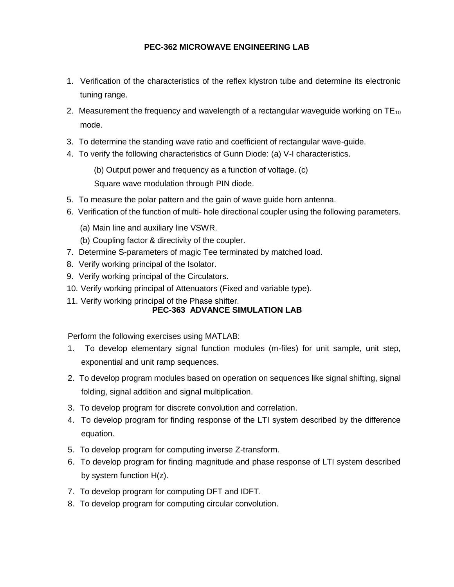# **PEC-362 MICROWAVE ENGINEERING LAB**

- 1. Verification of the characteristics of the reflex klystron tube and determine its electronic tuning range.
- 2. Measurement the frequency and wavelength of a rectangular waveguide working on  $TE_{10}$ mode.
- 3. To determine the standing wave ratio and coefficient of rectangular wave-guide.
- 4. To verify the following characteristics of Gunn Diode: (a) V-I characteristics.
	- (b) Output power and frequency as a function of voltage. (c)

Square wave modulation through PIN diode.

- 5. To measure the polar pattern and the gain of wave guide horn antenna.
- 6. Verification of the function of multi- hole directional coupler using the following parameters.
	- (a) Main line and auxiliary line VSWR.
	- (b) Coupling factor & directivity of the coupler.
- 7. Determine S-parameters of magic Tee terminated by matched load.
- 8. Verify working principal of the Isolator.
- 9. Verify working principal of the Circulators.
- 10. Verify working principal of Attenuators (Fixed and variable type).
- 11. Verify working principal of the Phase shifter.

# **PEC-363 ADVANCE SIMULATION LAB**

Perform the following exercises using MATLAB:

- 1. To develop elementary signal function modules (m-files) for unit sample, unit step, exponential and unit ramp sequences.
- 2. To develop program modules based on operation on sequences like signal shifting, signal folding, signal addition and signal multiplication.
- 3. To develop program for discrete convolution and correlation.
- 4. To develop program for finding response of the LTI system described by the difference equation.
- 5. To develop program for computing inverse Z-transform.
- 6. To develop program for finding magnitude and phase response of LTI system described by system function H(z).
- 7. To develop program for computing DFT and IDFT.
- 8. To develop program for computing circular convolution.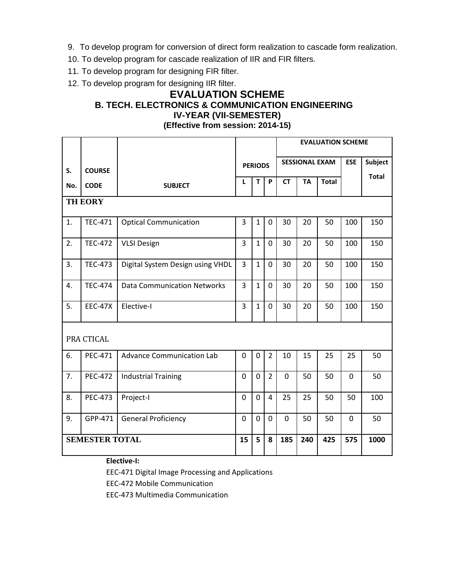- 9. To develop program for conversion of direct form realization to cascade form realization.
- 10. To develop program for cascade realization of IIR and FIR filters.
- 11. To develop program for designing FIR filter.
- 12. To develop program for designing IIR filter.

# **EVALUATION SCHEME B. TECH. ELECTRONICS & COMMUNICATION ENGINEERING IV-YEAR (VII-SEMESTER) (Effective from session: 2014-15)**

**S. No. COURSE CODE SUBJECT PERIODS EVALUATION SCHEME SESSIONAL EXAM ESE Subject Total L T P CT TA Total TH EORY** 1. | TEC-471 | Optical Communication | 3 | 1 | 0 | 30 | 20 | 50 | 100 | 150 2. **TEC-472** VLSI Design 3 1 0 30 20 50 100 150 3. TEC-473 Digital System Design using VHDL 3 1 0 30 20 50 100 150 4. TEC-474 | Data Communication Networks | 3 | 1 | 0 | 30 | 20 | 50 | 100 | 150 5. | EEC-47X | Elective-I | | 3 | 1 | 0 | 30 | 20 | 50 | 100 | 150 PRA CTICAL 6. PEC-471 Advance Communication Lab 0 0 2 10 15 25 25 25 50 7. PEC-472 Industrial Training 0 0 2 0 50 50 0 50 8. PEC-473 Project-I 0 0 4 25 25 50 50 100 9. | GPP-471 | General Proficiency | 0 0 0 0 0 50 | 50 | 0 | 50 **SEMESTER TOTAL 15 5 8 185 240 425 575 1000**

**Elective-I:**

EEC-471 Digital Image Processing and Applications

EEC-472 Mobile Communication

EEC-473 Multimedia Communication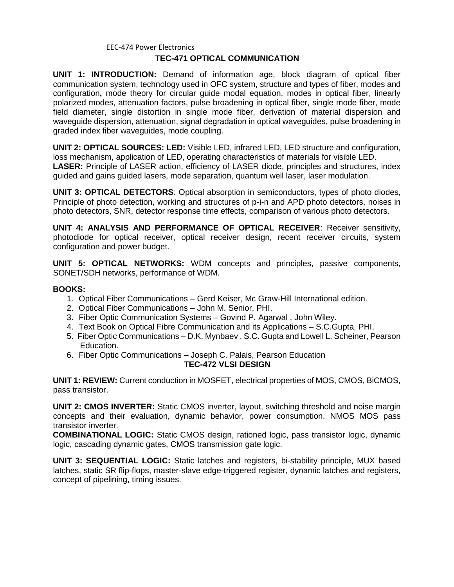#### EEC-474 Power Electronics

#### **TEC-471 OPTICAL COMMUNICATION**

**UNIT 1: INTRODUCTION:** Demand of information age, block diagram of optical fiber communication system, technology used in OFC system, structure and types of fiber, modes and configuration**,** mode theory for circular guide modal equation, modes in optical fiber, linearly polarized modes, attenuation factors, pulse broadening in optical fiber, single mode fiber, mode field diameter, single distortion in single mode fiber, derivation of material dispersion and waveguide dispersion, attenuation, signal degradation in optical waveguides, pulse broadening in graded index fiber waveguides, mode coupling.

**UNIT 2: OPTICAL SOURCES: LED:** Visible LED, infrared LED, LED structure and configuration, loss mechanism, application of LED, operating characteristics of materials for visible LED. **LASER:** Principle of LASER action, efficiency of LASER diode, principles and structures, index guided and gains guided lasers, mode separation, quantum well laser, laser modulation.

**UNIT 3: OPTICAL DETECTORS**: Optical absorption in semiconductors, types of photo diodes, Principle of photo detection, working and structures of p-i-n and APD photo detectors, noises in photo detectors, SNR, detector response time effects, comparison of various photo detectors.

**UNIT 4: ANALYSIS AND PERFORMANCE OF OPTICAL RECEIVER**: Receiver sensitivity, photodiode for optical receiver, optical receiver design, recent receiver circuits, system configuration and power budget.

**UNIT 5: OPTICAL NETWORKS:** WDM concepts and principles, passive components, SONET/SDH networks, performance of WDM.

#### **BOOKS:**

- 1. Optical Fiber Communications Gerd Keiser, Mc Graw-Hill International edition.
- 2. Optical Fiber Communications John M. Senior, PHI.
- 3. Fiber Optic Communication Systems Govind P. Agarwal , John Wiley.
- 4. Text Book on Optical Fibre Communication and its Applications S.C.Gupta, PHI.
- 5. Fiber Optic Communications D.K. Mynbaev , S.C. Gupta and Lowell L. Scheiner, Pearson Education.
- 6. Fiber Optic Communications Joseph C. Palais, Pearson Education **TEC-472 VLSI DESIGN**

**UNIT 1: REVIEW:** Current conduction in MOSFET, electrical properties of MOS, CMOS, BiCMOS, pass transistor.

**UNIT 2: CMOS INVERTER:** Static CMOS inverter, layout, switching threshold and noise margin concepts and their evaluation, dynamic behavior, power consumption. NMOS MOS pass transistor inverter.

**COMBINATIONAL LOGIC:** Static CMOS design, rationed logic, pass transistor logic, dynamic logic, cascading dynamic gates, CMOS transmission gate logic.

**UNIT 3: SEQUENTIAL LOGIC:** Static latches and registers, bi-stability principle, MUX based latches, static SR flip-flops, master-slave edge-triggered register, dynamic latches and registers, concept of pipelining, timing issues.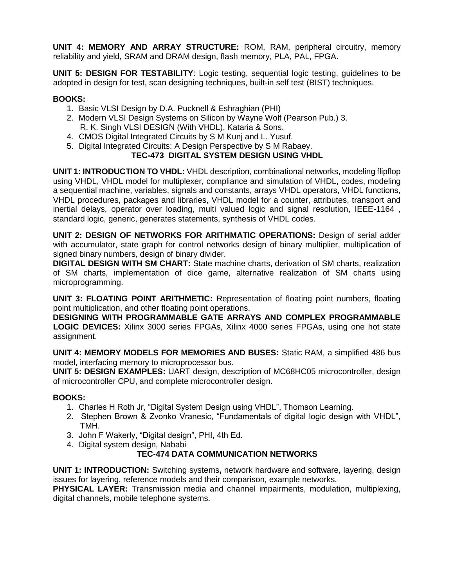**UNIT 4: MEMORY AND ARRAY STRUCTURE:** ROM, RAM, peripheral circuitry, memory reliability and yield, SRAM and DRAM design, flash memory, PLA, PAL, FPGA.

**UNIT 5: DESIGN FOR TESTABILITY**: Logic testing, sequential logic testing, guidelines to be adopted in design for test, scan designing techniques, built-in self test (BIST) techniques.

# **BOOKS:**

- 1. Basic VLSI Design by D.A. Pucknell & Eshraghian (PHI)
- 2. Modern VLSI Design Systems on Silicon by Wayne Wolf (Pearson Pub.) 3. R. K. Singh VLSI DESIGN (With VHDL), Kataria & Sons.
- 4. CMOS Digital Integrated Circuits by S M Kunj and L. Yusuf.
- 5. Digital Integrated Circuits: A Design Perspective by S M Rabaey.

# **TEC-473 DIGITAL SYSTEM DESIGN USING VHDL**

**UNIT 1: INTRODUCTION TO VHDL:** VHDL description, combinational networks, modeling flipflop using VHDL, VHDL model for multiplexer, compliance and simulation of VHDL, codes, modeling a sequential machine, variables, signals and constants, arrays VHDL operators, VHDL functions, VHDL procedures, packages and libraries, VHDL model for a counter, attributes, transport and inertial delays, operator over loading, multi valued logic and signal resolution, IEEE-1164 , standard logic, generic, generates statements, synthesis of VHDL codes.

**UNIT 2: DESIGN OF NETWORKS FOR ARITHMATIC OPERATIONS:** Design of serial adder with accumulator, state graph for control networks design of binary multiplier, multiplication of signed binary numbers, design of binary divider.

**DIGITAL DESIGN WITH SM CHART:** State machine charts, derivation of SM charts, realization of SM charts, implementation of dice game, alternative realization of SM charts using microprogramming.

**UNIT 3: FLOATING POINT ARITHMETIC:** Representation of floating point numbers, floating point multiplication, and other floating point operations.

**DESIGNING WITH PROGRAMMABLE GATE ARRAYS AND COMPLEX PROGRAMMABLE LOGIC DEVICES:** Xilinx 3000 series FPGAs, Xilinx 4000 series FPGAs, using one hot state assignment.

**UNIT 4: MEMORY MODELS FOR MEMORIES AND BUSES:** Static RAM, a simplified 486 bus model, interfacing memory to microprocessor bus.

**UNIT 5: DESIGN EXAMPLES:** UART design, description of MC68HC05 microcontroller, design of microcontroller CPU, and complete microcontroller design.

# **BOOKS:**

- 1. Charles H Roth Jr, "Digital System Design using VHDL", Thomson Learning.
- 2. Stephen Brown & Zvonko Vranesic, "Fundamentals of digital logic design with VHDL", TMH.
- 3. John F Wakerly, "Digital design", PHI, 4th Ed.
- 4. Digital system design, Nababi

# **TEC-474 DATA COMMUNICATION NETWORKS**

**UNIT 1: INTRODUCTION:** Switching systems**,** network hardware and software, layering, design issues for layering, reference models and their comparison, example networks.

**PHYSICAL LAYER:** Transmission media and channel impairments, modulation, multiplexing, digital channels, mobile telephone systems.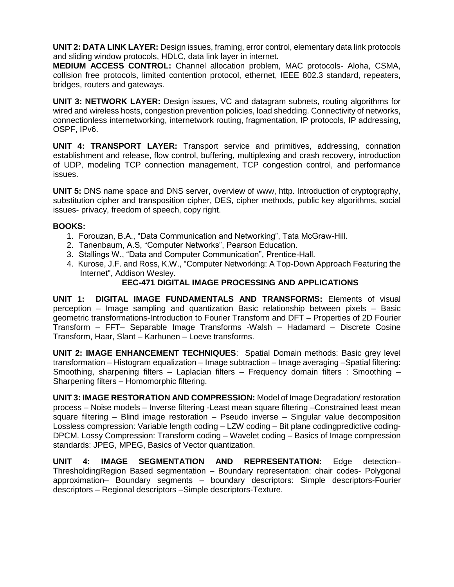**UNIT 2: DATA LINK LAYER:** Design issues, framing, error control, elementary data link protocols and sliding window protocols, HDLC, data link layer in internet.

**MEDIUM ACCESS CONTROL:** Channel allocation problem, MAC protocols- Aloha, CSMA, collision free protocols, limited contention protocol, ethernet, IEEE 802.3 standard, repeaters, bridges, routers and gateways.

**UNIT 3: NETWORK LAYER:** Design issues, VC and datagram subnets, routing algorithms for wired and wireless hosts, congestion prevention policies, load shedding. Connectivity of networks, connectionless internetworking, internetwork routing, fragmentation, IP protocols, IP addressing, OSPF, IPv6.

**UNIT 4: TRANSPORT LAYER:** Transport service and primitives, addressing, connation establishment and release, flow control, buffering, multiplexing and crash recovery, introduction of UDP, modeling TCP connection management, TCP congestion control, and performance issues.

**UNIT 5:** DNS name space and DNS server, overview of www, http. Introduction of cryptography, substitution cipher and transposition cipher, DES, cipher methods, public key algorithms, social issues- privacy, freedom of speech, copy right.

# **BOOKS:**

- 1. Forouzan, B.A., "Data Communication and Networking", Tata McGraw-Hill.
- 2. Tanenbaum, A.S, "Computer Networks", Pearson Education.
- 3. Stallings W., "Data and Computer Communication", Prentice-Hall.
- 4. Kurose, J.F. and Ross, K.W., "Computer Networking: A Top-Down Approach Featuring the Internet", Addison Wesley.

# **EEC-471 DIGITAL IMAGE PROCESSING AND APPLICATIONS**

**UNIT 1: DIGITAL IMAGE FUNDAMENTALS AND TRANSFORMS:** Elements of visual perception – Image sampling and quantization Basic relationship between pixels – Basic geometric transformations-Introduction to Fourier Transform and DFT – Properties of 2D Fourier Transform – FFT– Separable Image Transforms -Walsh – Hadamard – Discrete Cosine Transform, Haar, Slant – Karhunen – Loeve transforms.

**UNIT 2: IMAGE ENHANCEMENT TECHNIQUES**: Spatial Domain methods: Basic grey level transformation – Histogram equalization – Image subtraction – Image averaging –Spatial filtering: Smoothing, sharpening filters – Laplacian filters – Frequency domain filters : Smoothing – Sharpening filters – Homomorphic filtering.

**UNIT 3: IMAGE RESTORATION AND COMPRESSION:** Model of Image Degradation/ restoration process – Noise models – Inverse filtering -Least mean square filtering –Constrained least mean square filtering – Blind image restoration – Pseudo inverse – Singular value decomposition Lossless compression: Variable length coding – LZW coding – Bit plane codingpredictive coding-DPCM. Lossy Compression: Transform coding – Wavelet coding – Basics of Image compression standards: JPEG, MPEG, Basics of Vector quantization.

**UNIT 4: IMAGE SEGMENTATION AND REPRESENTATION:** Edge detection– ThresholdingRegion Based segmentation – Boundary representation: chair codes- Polygonal approximation– Boundary segments – boundary descriptors: Simple descriptors-Fourier descriptors – Regional descriptors –Simple descriptors-Texture.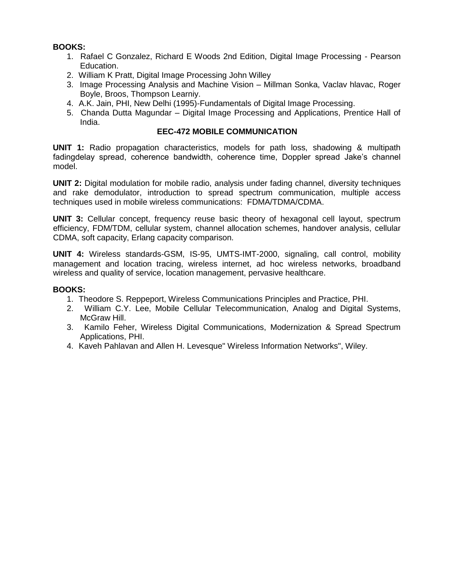# **BOOKS:**

- 1. Rafael C Gonzalez, Richard E Woods 2nd Edition, Digital Image Processing Pearson Education.
- 2. William K Pratt, Digital Image Processing John Willey
- 3. Image Processing Analysis and Machine Vision Millman Sonka, Vaclav hlavac, Roger Boyle, Broos, Thompson Learniy.
- 4. A.K. Jain, PHI, New Delhi (1995)-Fundamentals of Digital Image Processing.
- 5. Chanda Dutta Magundar Digital Image Processing and Applications, Prentice Hall of India.

#### **EEC-472 MOBILE COMMUNICATION**

**UNIT 1:** Radio propagation characteristics, models for path loss, shadowing & multipath fadingdelay spread, coherence bandwidth, coherence time, Doppler spread Jake's channel model.

**UNIT 2:** Digital modulation for mobile radio, analysis under fading channel, diversity techniques and rake demodulator, introduction to spread spectrum communication, multiple access techniques used in mobile wireless communications: FDMA/TDMA/CDMA.

**UNIT 3:** Cellular concept, frequency reuse basic theory of hexagonal cell layout, spectrum efficiency, FDM/TDM, cellular system, channel allocation schemes, handover analysis, cellular CDMA, soft capacity, Erlang capacity comparison.

**UNIT 4:** Wireless standards-GSM, IS-95, UMTS-IMT-2000, signaling, call control, mobility management and location tracing, wireless internet, ad hoc wireless networks, broadband wireless and quality of service, location management, pervasive healthcare.

#### **BOOKS:**

- 1. Theodore S. Reppeport, Wireless Communications Principles and Practice, PHI.
- 2. William C.Y. Lee, Mobile Cellular Telecommunication, Analog and Digital Systems, McGraw Hill.
- 3. Kamilo Feher, Wireless Digital Communications, Modernization & Spread Spectrum Applications, PHI.
- 4. Kaveh Pahlavan and Allen H. Levesque" Wireless Information Networks", Wiley.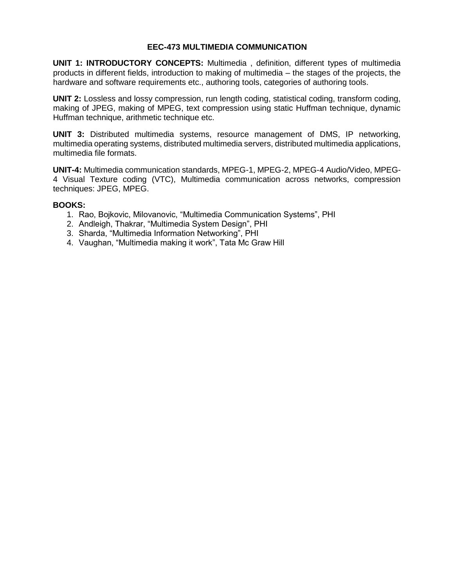# **EEC-473 MULTIMEDIA COMMUNICATION**

**UNIT 1: INTRODUCTORY CONCEPTS:** Multimedia , definition, different types of multimedia products in different fields, introduction to making of multimedia – the stages of the projects, the hardware and software requirements etc., authoring tools, categories of authoring tools.

**UNIT 2:** Lossless and lossy compression, run length coding, statistical coding, transform coding, making of JPEG, making of MPEG, text compression using static Huffman technique, dynamic Huffman technique, arithmetic technique etc.

**UNIT 3:** Distributed multimedia systems, resource management of DMS, IP networking, multimedia operating systems, distributed multimedia servers, distributed multimedia applications, multimedia file formats.

**UNIT-4:** Multimedia communication standards, MPEG-1, MPEG-2, MPEG-4 Audio/Video, MPEG-4 Visual Texture coding (VTC), Multimedia communication across networks, compression techniques: JPEG, MPEG.

#### **BOOKS:**

- 1. Rao, Bojkovic, Milovanovic, "Multimedia Communication Systems", PHI
- 2. Andleigh, Thakrar, "Multimedia System Design", PHI
- 3. Sharda, "Multimedia Information Networking", PHI
- 4. Vaughan, "Multimedia making it work", Tata Mc Graw Hill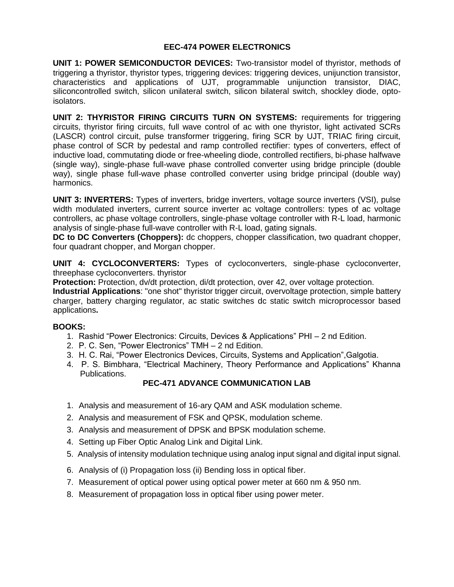# **EEC-474 POWER ELECTRONICS**

**UNIT 1: POWER SEMICONDUCTOR DEVICES:** Two-transistor model of thyristor, methods of triggering a thyristor, thyristor types, triggering devices: triggering devices, unijunction transistor, characteristics and applications of UJT, programmable unijunction transistor, DIAC, siliconcontrolled switch, silicon unilateral switch, silicon bilateral switch, shockley diode, optoisolators.

**UNIT 2: THYRISTOR FIRING CIRCUITS TURN ON SYSTEMS:** requirements for triggering circuits, thyristor firing circuits, full wave control of ac with one thyristor, light activated SCRs (LASCR) control circuit, pulse transformer triggering, firing SCR by UJT, TRIAC firing circuit, phase control of SCR by pedestal and ramp controlled rectifier: types of converters, effect of inductive load, commutating diode or free-wheeling diode, controlled rectifiers, bi-phase halfwave (single way), single-phase full-wave phase controlled converter using bridge principle (double way), single phase full-wave phase controlled converter using bridge principal (double way) harmonics.

**UNIT 3: INVERTERS:** Types of inverters, bridge inverters, voltage source inverters (VSI), pulse width modulated inverters, current source inverter ac voltage controllers: types of ac voltage controllers, ac phase voltage controllers, single-phase voltage controller with R-L load, harmonic analysis of single-phase full-wave controller with R-L load, gating signals.

**DC to DC Converters (Choppers):** dc choppers, chopper classification, two quadrant chopper, four quadrant chopper, and Morgan chopper.

**UNIT 4: CYCLOCONVERTERS:** Types of cycloconverters, single-phase cycloconverter, threephase cycloconverters. thyristor

**Protection:** Protection, dv/dt protection, di/dt protection, over 42, over voltage protection.

**Industrial Applications**: "one shot" thyristor trigger circuit, overvoltage protection, simple battery charger, battery charging regulator, ac static switches dc static switch microprocessor based applications**.**

# **BOOKS:**

- 1. Rashid "Power Electronics: Circuits, Devices & Applications" PHI 2 nd Edition.
- 2. P. C. Sen, "Power Electronics" TMH 2 nd Edition.
- 3. H. C. Rai, "Power Electronics Devices, Circuits, Systems and Application",Galgotia.
- 4. P. S. Bimbhara, "Electrical Machinery, Theory Performance and Applications" Khanna Publications.

# **PEC-471 ADVANCE COMMUNICATION LAB**

- 1. Analysis and measurement of 16-ary QAM and ASK modulation scheme.
- 2. Analysis and measurement of FSK and QPSK, modulation scheme.
- 3. Analysis and measurement of DPSK and BPSK modulation scheme.
- 4. Setting up Fiber Optic Analog Link and Digital Link.
- 5. Analysis of intensity modulation technique using analog input signal and digital input signal.
- 6. Analysis of (i) Propagation loss (ii) Bending loss in optical fiber.
- 7. Measurement of optical power using optical power meter at 660 nm & 950 nm.
- 8. Measurement of propagation loss in optical fiber using power meter.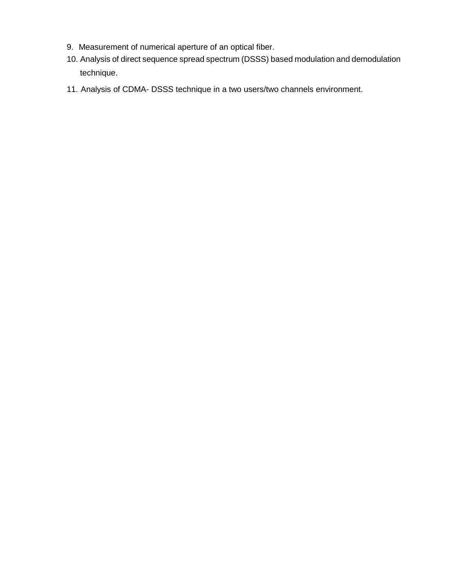- 9. Measurement of numerical aperture of an optical fiber.
- 10. Analysis of direct sequence spread spectrum (DSSS) based modulation and demodulation technique.
- 11. Analysis of CDMA- DSSS technique in a two users/two channels environment.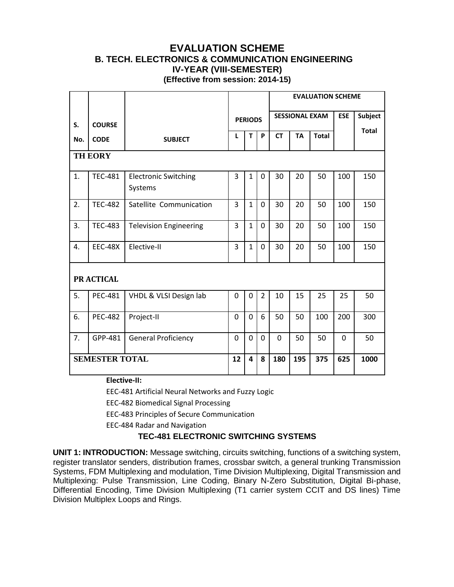# **EVALUATION SCHEME B. TECH. ELECTRONICS & COMMUNICATION ENGINEERING IV-YEAR (VIII-SEMESTER) (Effective from session: 2014-15)**

|                       |                |                                        |                |                |                |           |                       | <b>EVALUATION SCHEME</b> |            |                |  |
|-----------------------|----------------|----------------------------------------|----------------|----------------|----------------|-----------|-----------------------|--------------------------|------------|----------------|--|
| S.                    | <b>COURSE</b>  |                                        |                | <b>PERIODS</b> |                |           | <b>SESSIONAL EXAM</b> |                          | <b>ESE</b> | <b>Subject</b> |  |
| No.                   | <b>CODE</b>    | <b>SUBJECT</b>                         | L              | T              | P              | <b>CT</b> | <b>TA</b>             | <b>Total</b>             |            | <b>Total</b>   |  |
|                       | <b>TH EORY</b> |                                        |                |                |                |           |                       |                          |            |                |  |
| 1.                    | <b>TEC-481</b> | <b>Electronic Switching</b><br>Systems | 3              | $\mathbf{1}$   | $\overline{0}$ | 30        | 20                    | 50                       | 100        | 150            |  |
| 2.                    | <b>TEC-482</b> | Satellite Communication                | $\overline{3}$ | $\mathbf{1}$   | $\overline{0}$ | 30        | 20                    | 50                       | 100        | 150            |  |
| 3.                    | <b>TEC-483</b> | <b>Television Engineering</b>          | 3              | $\mathbf{1}$   | $\mathbf 0$    | 30        | 20                    | 50                       | 100        | 150            |  |
| 4.                    | <b>EEC-48X</b> | Elective-II                            | 3              | $\mathbf{1}$   | $\overline{0}$ | 30        | 20                    | 50                       | 100        | 150            |  |
|                       | PR ACTICAL     |                                        |                |                |                |           |                       |                          |            |                |  |
| 5.                    | <b>PEC-481</b> | VHDL & VLSI Design lab                 | 0              | 0              | $\overline{2}$ | 10        | 15                    | 25                       | 25         | 50             |  |
| 6.                    | <b>PEC-482</b> | Project-II                             | $\Omega$       | 0              | 6              | 50        | 50                    | 100                      | 200        | 300            |  |
| 7.                    | GPP-481        | <b>General Proficiency</b>             | $\Omega$       | 0              | $\mathbf 0$    | $\Omega$  | 50                    | 50                       | $\Omega$   | 50             |  |
| <b>SEMESTER TOTAL</b> |                | 12                                     | 4              | 8              | 180            | 195       | 375                   | 625                      | 1000       |                |  |

**Elective-II:**

EEC-481 Artificial Neural Networks and Fuzzy Logic

EEC-482 Biomedical Signal Processing

EEC-483 Principles of Secure Communication

EEC-484 Radar and Navigation

# **TEC-481 ELECTRONIC SWITCHING SYSTEMS**

**UNIT 1: INTRODUCTION:** Message switching, circuits switching, functions of a switching system, register translator senders, distribution frames, crossbar switch, a general trunking Transmission Systems, FDM Multiplexing and modulation, Time Division Multiplexing, Digital Transmission and Multiplexing: Pulse Transmission, Line Coding, Binary N-Zero Substitution, Digital Bi-phase, Differential Encoding, Time Division Multiplexing (T1 carrier system CCIT and DS lines) Time Division Multiplex Loops and Rings.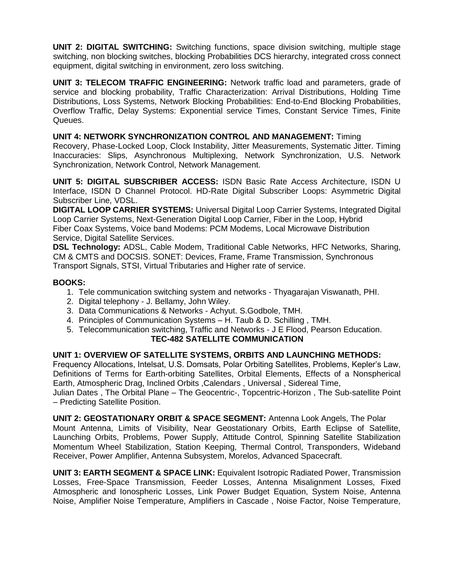**UNIT 2: DIGITAL SWITCHING:** Switching functions, space division switching, multiple stage switching, non blocking switches, blocking Probabilities DCS hierarchy, integrated cross connect equipment, digital switching in environment, zero loss switching.

**UNIT 3: TELECOM TRAFFIC ENGINEERING:** Network traffic load and parameters, grade of service and blocking probability, Traffic Characterization: Arrival Distributions, Holding Time Distributions, Loss Systems, Network Blocking Probabilities: End-to-End Blocking Probabilities, Overflow Traffic, Delay Systems: Exponential service Times, Constant Service Times, Finite Queues.

# **UNIT 4: NETWORK SYNCHRONIZATION CONTROL AND MANAGEMENT:** Timing

Recovery, Phase-Locked Loop, Clock Instability, Jitter Measurements, Systematic Jitter. Timing Inaccuracies: Slips, Asynchronous Multiplexing, Network Synchronization, U.S. Network Synchronization, Network Control, Network Management.

**UNIT 5: DIGITAL SUBSCRIBER ACCESS:** ISDN Basic Rate Access Architecture, ISDN U Interface, ISDN D Channel Protocol. HD-Rate Digital Subscriber Loops: Asymmetric Digital Subscriber Line, VDSL.

**DIGITAL LOOP CARRIER SYSTEMS:** Universal Digital Loop Carrier Systems, Integrated Digital Loop Carrier Systems, Next-Generation Digital Loop Carrier, Fiber in the Loop, Hybrid Fiber Coax Systems, Voice band Modems: PCM Modems, Local Microwave Distribution Service, Digital Satellite Services.

**DSL Technology:** ADSL, Cable Modem, Traditional Cable Networks, HFC Networks, Sharing, CM & CMTS and DOCSIS. SONET: Devices, Frame, Frame Transmission, Synchronous Transport Signals, STSI, Virtual Tributaries and Higher rate of service.

# **BOOKS:**

- 1. Tele communication switching system and networks Thyagarajan Viswanath, PHI.
- 2. Digital telephony J. Bellamy, John Wiley.
- 3. Data Communications & Networks Achyut. S.Godbole, TMH.
- 4. Principles of Communication Systems H. Taub & D. Schilling , TMH.
- 5. Telecommunication switching, Traffic and Networks J E Flood, Pearson Education.

# **TEC-482 SATELLITE COMMUNICATION**

# **UNIT 1: OVERVIEW OF SATELLITE SYSTEMS, ORBITS AND LAUNCHING METHODS:**

Frequency Allocations, Intelsat, U.S. Domsats, Polar Orbiting Satellites, Problems, Kepler's Law, Definitions of Terms for Earth-orbiting Satellites, Orbital Elements, Effects of a Nonspherical Earth, Atmospheric Drag, Inclined Orbits ,Calendars , Universal , Sidereal Time, Julian Dates , The Orbital Plane – The Geocentric-, Topcentric-Horizon , The Sub-satellite Point – Predicting Satellite Position.

**UNIT 2: GEOSTATIONARY ORBIT & SPACE SEGMENT:** Antenna Look Angels, The Polar Mount Antenna, Limits of Visibility, Near Geostationary Orbits, Earth Eclipse of Satellite, Launching Orbits, Problems, Power Supply, Attitude Control, Spinning Satellite Stabilization Momentum Wheel Stabilization, Station Keeping, Thermal Control, Transponders, Wideband Receiver, Power Amplifier, Antenna Subsystem, Morelos, Advanced Spacecraft.

**UNIT 3: EARTH SEGMENT & SPACE LINK:** Equivalent Isotropic Radiated Power, Transmission Losses, Free-Space Transmission, Feeder Losses, Antenna Misalignment Losses, Fixed Atmospheric and Ionospheric Losses, Link Power Budget Equation, System Noise, Antenna Noise, Amplifier Noise Temperature, Amplifiers in Cascade , Noise Factor, Noise Temperature,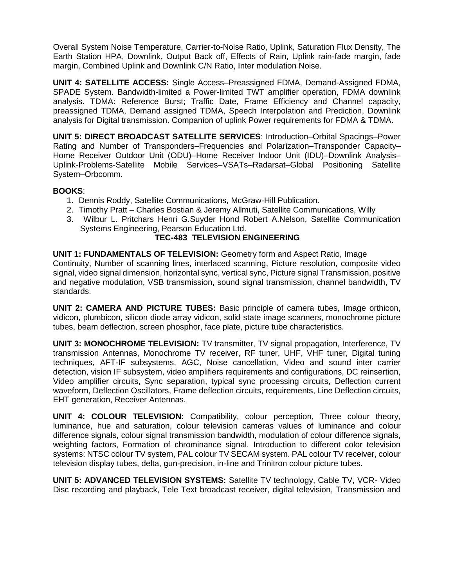Overall System Noise Temperature, Carrier-to-Noise Ratio, Uplink, Saturation Flux Density, The Earth Station HPA, Downlink, Output Back off, Effects of Rain, Uplink rain-fade margin, fade margin, Combined Uplink and Downlink C/N Ratio, Inter modulation Noise.

**UNIT 4: SATELLITE ACCESS:** Single Access–Preassigned FDMA, Demand-Assigned FDMA, SPADE System. Bandwidth-limited a Power-limited TWT amplifier operation, FDMA downlink analysis. TDMA: Reference Burst; Traffic Date, Frame Efficiency and Channel capacity, preassigned TDMA, Demand assigned TDMA, Speech Interpolation and Prediction, Downlink analysis for Digital transmission. Companion of uplink Power requirements for FDMA & TDMA.

**UNIT 5: DIRECT BROADCAST SATELLITE SERVICES**: Introduction–Orbital Spacings–Power Rating and Number of Transponders–Frequencies and Polarization–Transponder Capacity– Home Receiver Outdoor Unit (ODU)–Home Receiver Indoor Unit (IDU)–Downlink Analysis– Uplink-Problems-Satellite Mobile Services–VSATs–Radarsat–Global Positioning Satellite System–Orbcomm.

# **BOOKS**:

- 1. Dennis Roddy, Satellite Communications, McGraw-Hill Publication.
- 2. Timothy Pratt Charles Bostian & Jeremy Allmuti, Satellite Communications, Willy
- 3. Wilbur L. Pritchars Henri G.Suyder Hond Robert A.Nelson, Satellite Communication Systems Engineering, Pearson Education Ltd.

# **TEC-483 TELEVISION ENGINEERING**

**UNIT 1: FUNDAMENTALS OF TELEVISION:** Geometry form and Aspect Ratio, Image Continuity, Number of scanning lines, interlaced scanning, Picture resolution, composite video signal, video signal dimension, horizontal sync, vertical sync, Picture signal Transmission, positive and negative modulation, VSB transmission, sound signal transmission, channel bandwidth, TV standards.

**UNIT 2: CAMERA AND PICTURE TUBES:** Basic principle of camera tubes, Image orthicon, vidicon, plumbicon, silicon diode array vidicon, solid state image scanners, monochrome picture tubes, beam deflection, screen phosphor, face plate, picture tube characteristics.

**UNIT 3: MONOCHROME TELEVISION:** TV transmitter, TV signal propagation, Interference, TV transmission Antennas, Monochrome TV receiver, RF tuner, UHF, VHF tuner, Digital tuning techniques, AFT-IF subsystems, AGC, Noise cancellation, Video and sound inter carrier detection, vision IF subsystem, video amplifiers requirements and configurations, DC reinsertion, Video amplifier circuits, Sync separation, typical sync processing circuits, Deflection current waveform, Deflection Oscillators, Frame deflection circuits, requirements, Line Deflection circuits, EHT generation, Receiver Antennas.

**UNIT 4: COLOUR TELEVISION:** Compatibility, colour perception, Three colour theory, luminance, hue and saturation, colour television cameras values of luminance and colour difference signals, colour signal transmission bandwidth, modulation of colour difference signals, weighting factors, Formation of chrominance signal. Introduction to different color television systems: NTSC colour TV system, PAL colour TV SECAM system. PAL colour TV receiver, colour television display tubes, delta, gun-precision, in-line and Trinitron colour picture tubes.

**UNIT 5: ADVANCED TELEVISION SYSTEMS:** Satellite TV technology, Cable TV, VCR- Video Disc recording and playback, Tele Text broadcast receiver, digital television, Transmission and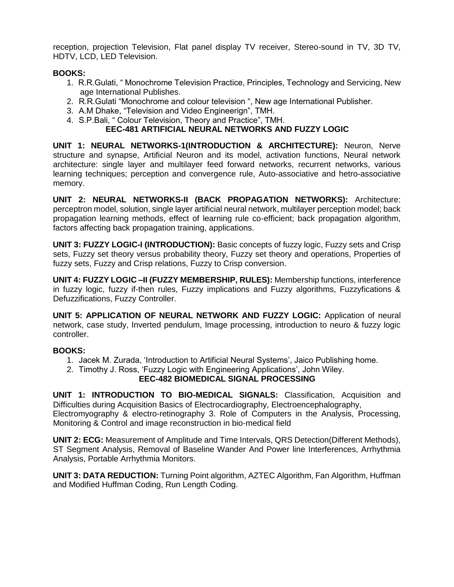reception, projection Television, Flat panel display TV receiver, Stereo-sound in TV, 3D TV, HDTV, LCD, LED Television.

# **BOOKS:**

- 1. R.R.Gulati, " Monochrome Television Practice, Principles, Technology and Servicing, New age International Publishes.
- 2. R.R.Gulati "Monochrome and colour television ", New age International Publisher.
- 3. A.M Dhake, "Television and Video Engineerign", TMH.
- 4. S.P.Bali, " Colour Television, Theory and Practice", TMH.

# **EEC-481 ARTIFICIAL NEURAL NETWORKS AND FUZZY LOGIC**

**UNIT 1: NEURAL NETWORKS-1(INTRODUCTION & ARCHITECTURE):** Neuron, Nerve structure and synapse, Artificial Neuron and its model, activation functions, Neural network architecture: single layer and multilayer feed forward networks, recurrent networks, various learning techniques; perception and convergence rule, Auto-associative and hetro-associative memory.

**UNIT 2: NEURAL NETWORKS-II (BACK PROPAGATION NETWORKS):** Architecture: perceptron model, solution, single layer artificial neural network, multilayer perception model; back propagation learning methods, effect of learning rule co-efficient; back propagation algorithm, factors affecting back propagation training, applications.

**UNIT 3: FUZZY LOGIC-I (INTRODUCTION):** Basic concepts of fuzzy logic, Fuzzy sets and Crisp sets, Fuzzy set theory versus probability theory, Fuzzy set theory and operations, Properties of fuzzy sets, Fuzzy and Crisp relations, Fuzzy to Crisp conversion.

**UNIT 4: FUZZY LOGIC –II (FUZZY MEMBERSHIP, RULES):** Membership functions, interference in fuzzy logic, fuzzy if-then rules, Fuzzy implications and Fuzzy algorithms, Fuzzyfications & Defuzzifications, Fuzzy Controller.

**UNIT 5: APPLICATION OF NEURAL NETWORK AND FUZZY LOGIC:** Application of neural network, case study, Inverted pendulum, Image processing, introduction to neuro & fuzzy logic controller.

# **BOOKS:**

- 1. Jacek M. Zurada, 'Introduction to Artificial Neural Systems', Jaico Publishing home.
- 2. Timothy J. Ross, 'Fuzzy Logic with Engineering Applications', John Wiley.

# **EEC-482 BIOMEDICAL SIGNAL PROCESSING**

**UNIT 1: INTRODUCTION TO BIO-MEDICAL SIGNALS:** Classification, Acquisition and Difficulties during Acquisition Basics of Electrocardiography, Electroencephalography, Electromyography & electro-retinography 3. Role of Computers in the Analysis, Processing, Monitoring & Control and image reconstruction in bio-medical field

**UNIT 2: ECG:** Measurement of Amplitude and Time Intervals, QRS Detection(Different Methods), ST Segment Analysis, Removal of Baseline Wander And Power line Interferences, Arrhythmia Analysis, Portable Arrhythmia Monitors.

**UNIT 3: DATA REDUCTION:** Turning Point algorithm, AZTEC Algorithm, Fan Algorithm, Huffman and Modified Huffman Coding, Run Length Coding.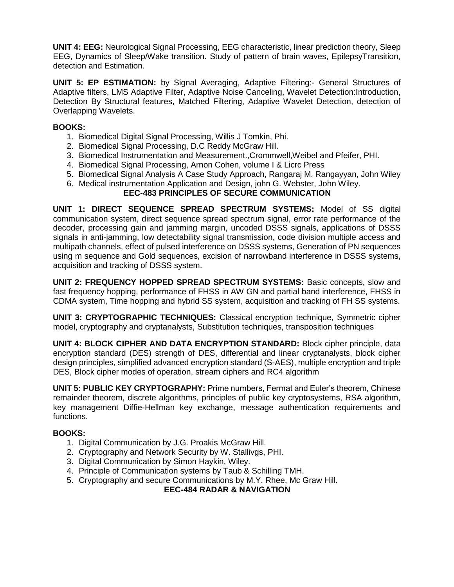**UNIT 4: EEG:** Neurological Signal Processing, EEG characteristic, linear prediction theory, Sleep EEG, Dynamics of Sleep/Wake transition. Study of pattern of brain waves, EpilepsyTransition, detection and Estimation.

**UNIT 5: EP ESTIMATION:** by Signal Averaging, Adaptive Filtering:- General Structures of Adaptive filters, LMS Adaptive Filter, Adaptive Noise Canceling, Wavelet Detection:Introduction, Detection By Structural features, Matched Filtering, Adaptive Wavelet Detection, detection of Overlapping Wavelets.

# **BOOKS:**

- 1. Biomedical Digital Signal Processing, Willis J Tomkin, Phi.
- 2. Biomedical Signal Processing, D.C Reddy McGraw Hill.
- 3. Biomedical Instrumentation and Measurement.,Crommwell,Weibel and Pfeifer, PHI.
- 4. Biomedical Signal Processing, Arnon Cohen, volume I & Licrc Press
- 5. Biomedical Signal Analysis A Case Study Approach, Rangaraj M. Rangayyan, John Wiley
- 6. Medical instrumentation Application and Design, john G. Webster, John Wiley.

# **EEC-483 PRINCIPLES OF SECURE COMMUNICATION**

**UNIT 1: DIRECT SEQUENCE SPREAD SPECTRUM SYSTEMS:** Model of SS digital communication system, direct sequence spread spectrum signal, error rate performance of the decoder, processing gain and jamming margin, uncoded DSSS signals, applications of DSSS signals in anti-jamming, low detectability signal transmission, code division multiple access and multipath channels, effect of pulsed interference on DSSS systems, Generation of PN sequences using m sequence and Gold sequences, excision of narrowband interference in DSSS systems, acquisition and tracking of DSSS system.

**UNIT 2: FREQUENCY HOPPED SPREAD SPECTRUM SYSTEMS:** Basic concepts, slow and fast frequency hopping, performance of FHSS in AW GN and partial band interference, FHSS in CDMA system, Time hopping and hybrid SS system, acquisition and tracking of FH SS systems.

**UNIT 3: CRYPTOGRAPHIC TECHNIQUES:** Classical encryption technique, Symmetric cipher model, cryptography and cryptanalysts, Substitution techniques, transposition techniques

**UNIT 4: BLOCK CIPHER AND DATA ENCRYPTION STANDARD:** Block cipher principle, data encryption standard (DES) strength of DES, differential and linear cryptanalysts, block cipher design principles, simplified advanced encryption standard (S-AES), multiple encryption and triple DES, Block cipher modes of operation, stream ciphers and RC4 algorithm

**UNIT 5: PUBLIC KEY CRYPTOGRAPHY:** Prime numbers, Fermat and Euler's theorem, Chinese remainder theorem, discrete algorithms, principles of public key cryptosystems, RSA algorithm, key management Diffie-Hellman key exchange, message authentication requirements and functions.

# **BOOKS:**

- 1. Digital Communication by J.G. Proakis McGraw Hill.
- 2. Cryptography and Network Security by W. Stallivgs, PHI.
- 3. Digital Communication by Simon Haykin, Wiley.
- 4. Principle of Communication systems by Taub & Schilling TMH.
- 5. Cryptography and secure Communications by M.Y. Rhee, Mc Graw Hill.

**EEC-484 RADAR & NAVIGATION**